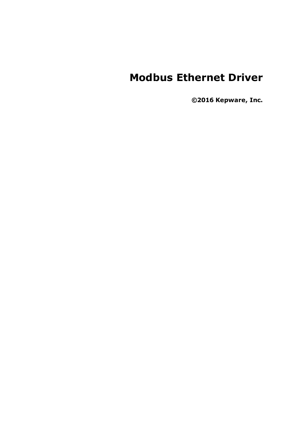# **Modbus Ethernet Driver**

**©2016 Kepware, Inc.**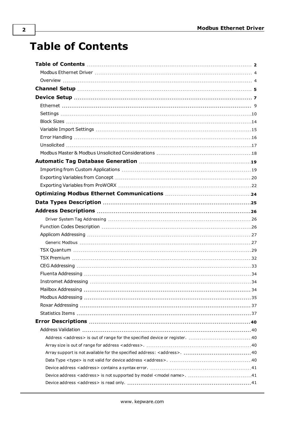# **Table of Contents**

<span id="page-1-0"></span>**2**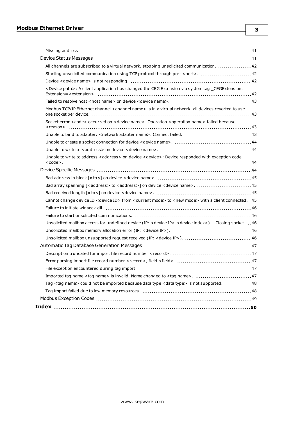| All channels are subscribed to a virtual network, stopping unsolicited communication. 42                                   |  |
|----------------------------------------------------------------------------------------------------------------------------|--|
| Starting unsolicited communication using TCP protocol through port <port>. 42</port>                                       |  |
|                                                                                                                            |  |
| <device path="">: A client application has changed the CEG Extension via system tag _CEGExtension.</device>                |  |
|                                                                                                                            |  |
| Modbus TCP/IP Ethernet channel <channel name=""> is in a virtual network, all devices reverted to use</channel>            |  |
| Socket error <code> occurred on <device name="">. Operation <operation name=""> failed because</operation></device></code> |  |
|                                                                                                                            |  |
|                                                                                                                            |  |
|                                                                                                                            |  |
| Unable to write to address < address > on device < device >: Device responded with exception code                          |  |
|                                                                                                                            |  |
|                                                                                                                            |  |
|                                                                                                                            |  |
|                                                                                                                            |  |
| 45. Cannot change device ID < device ID> from < current mode> to < new mode> with a client connected. 45                   |  |
|                                                                                                                            |  |
|                                                                                                                            |  |
| Unsolicited mailbox access for undefined device (IP: < device IP>.< device index>) Closing socket.  46                     |  |
|                                                                                                                            |  |
|                                                                                                                            |  |
|                                                                                                                            |  |
|                                                                                                                            |  |
|                                                                                                                            |  |
|                                                                                                                            |  |
|                                                                                                                            |  |
| Tag <tag name=""> could not be imported because data type <data type=""> is not supported.  48</data></tag>                |  |
|                                                                                                                            |  |
|                                                                                                                            |  |
|                                                                                                                            |  |

**3**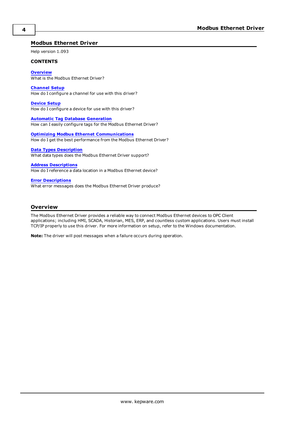# <span id="page-3-0"></span>**Modbus Ethernet Driver**

Help version 1.093

#### **CONTENTS**

**[Overview](#page-3-1)** What is the Modbus Ethernet Driver?

**[Channel](#page-4-0) Setup** How do I configure a channel for use with this driver?

**[Device](#page-6-0) Setup** How do I configure a device for use with this driver?

**Automatic Tag Database [Generation](#page-18-0)** How can I easily configure tags for the Modbus Ethernet Driver?

**Optimizing Modbus Ethernet [Communications](#page-23-0)** How do I get the best performance from the Modbus Ethernet Driver?

#### **Data Types [Description](#page-24-0)**

What data types does the Modbus Ethernet Driver support?

### **Address [Descriptions](#page-25-0)**

How do I reference a data location in a Modbus Ethernet device?

# **Error [Descriptions](#page-39-0)**

What error messages does the Modbus Ethernet Driver produce?

# <span id="page-3-1"></span>**Overview**

The Modbus Ethernet Driver provides a reliable way to connect Modbus Ethernet devices to OPC Client applications; including HMI, SCADA, Historian, MES, ERP, and countless custom applications. Users must install TCP/IP properly to use this driver. For more information on setup, refer to the Windows documentation.

**Note:** The driver will post messages when a failure occurs during operation.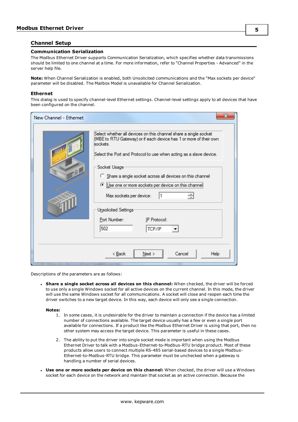# <span id="page-4-0"></span>**Channel Setup**

### **Communication Serialization**

The Modbus Ethernet Driver supports Communication Serialization, which specifies whether data transmissions should be limited to one channel at a time. For more information, refer to "Channel Properties - Advanced" in the server help file.

<span id="page-4-1"></span>**Note:** When Channel Serialization is enabled, both Unsolicited communications and the "Max sockets per device" parameter will be disabled. The Mailbox Model is unavailable for Channel Serialization.

## **Ethernet**

This dialog is used to specify channel-level Ethernet settings. Channel-level settings apply to all devices that have been configured on the channel.

| New Channel - Ethernet | x                                                                                                                                                                                                                                                                                                                                                                                                                                                                          |
|------------------------|----------------------------------------------------------------------------------------------------------------------------------------------------------------------------------------------------------------------------------------------------------------------------------------------------------------------------------------------------------------------------------------------------------------------------------------------------------------------------|
| Q                      | Select whether all devices on this channel share a single socket<br>(MBE to RTU Gateway) or if each device has 1 or more of their own<br>sockets<br>Select the Port and Protocol to use when acting as a slave device.<br>Socket Usage<br>Share a single socket across all devices on this channel<br><b>E</b> Use one or more sockets per device on this channel<br>Max sockets per device:<br>Unsolicited Settings<br>Port Number:<br>IP Protocol:<br>502<br>TCP/IP<br>▼ |
|                        | Next<br>Cancel<br>< <u>B</u> ack<br><b>Help</b>                                                                                                                                                                                                                                                                                                                                                                                                                            |

<span id="page-4-2"></span>Descriptions of the parameters are as follows:

<sup>l</sup> **Share a single socket across all devices on this channel:** When checked, the driver will be forced to use only a single Windows socket for all active devices on the current channel. In this mode, the driver will use the same Windows socket for all communications. A socket will close and reopen each time the driver switches to a new target device. In this way, each device will only see a single connection.

#### **Notes:**

- 1. In some cases, it is undesirable for the driver to maintain a connection if the device has a limited number of connections available. The target device usually has a few or even a single port available for connections. If a product like the Modbus Ethernet Driver is using that port, then no other system may access the target device. This parameter is useful in these cases.
- 2. The ability to put the driver into single socket mode is important when using the Modbus Ethernet Driver to talk with a Modbus-Ethernet-to-Modbus-RTU bridge product. Most of these products allow users to connect multiple RS-485 serial-based devices to a single Modbus-Ethernet-to-Modbus-RTU bridge. This parameter must be unchecked when a gateway is handling a number of serial devices.
- <sup>l</sup> **Use one or more sockets per device on this channel:** When checked, the driver will use a Windows socket for each device on the network and maintain that socket as an active connection. Because the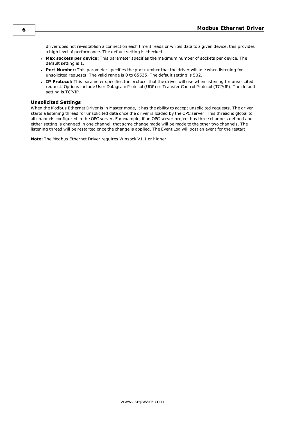driver does not re-establish a connection each time it reads or writes data to a given device, this provides a high level of performance. The default setting is checked.

- <sup>l</sup> **Max sockets per device:** This parameter specifies the maximum number of sockets per device. The default setting is 1.
- <sup>l</sup> **Port Number:** This parameter specifies the port number that the driver will use when listening for unsolicited requests. The valid range is 0 to 65535. The default setting is 502.
- **. IP Protocol:** This parameter specifies the protocol that the driver will use when listening for unsolicited request. Options include User Datagram Protocol (UDP) or Transfer Control Protocol (TCP/IP). The default setting is TCP/IP.

## **Unsolicited Settings**

When the Modbus Ethernet Driver is in Master mode, it has the ability to accept unsolicited requests. The driver starts a listening thread for unsolicited data once the driver is loaded by the OPC server. This thread is global to all channels configured in the OPC server. For example, if an OPC server project has three channels defined and either setting is changed in one channel, that same change made will be made to the other two channels. The listening thread will be restarted once the change is applied. The Event Log will post an event for the restart.

**Note:** The Modbus Ethernet Driver requires Winsock V1.1 or higher.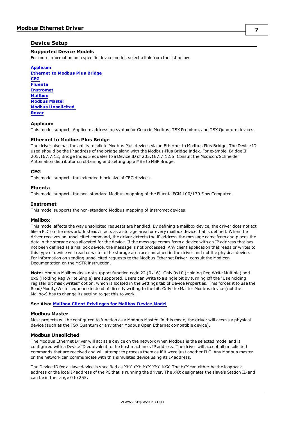# <span id="page-6-0"></span>**Device Setup**

# **Supported Device Models**

For more information on a specific device model, select a link from the list below.

**[Applicom](#page-6-1) [Ethernet](#page-6-2) to Modbus Plus Bridge [CEG](#page-6-3) [Fluenta](#page-6-4) [Instromet](#page-6-5) [Mailbox](#page-6-6) [Modbus](#page-6-7) Master Modbus [Unsolicited](#page-6-8) [Roxar](#page-7-0)**

# <span id="page-6-1"></span>**Applicom**

<span id="page-6-2"></span>This model supports Applicom addressing syntax for Generic Modbus, TSX Premium, and TSX Quantum devices.

## **Ethernet to Modbus Plus Bridge**

The driver also has the ability to talk to Modbus Plus devices via an Ethernet to Modbus Plus Bridge. The Device ID used should be the IP address of the bridge along with the Modbus Plus Bridge Index. For example, Bridge IP 205.167.7.12, Bridge Index 5 equates to a Device ID of 205.167.7.12.5. Consult the Modicon/Schneider Automation distributor on obtaining and setting up a MBE to MBP Bridge.

# <span id="page-6-3"></span>**CEG**

<span id="page-6-4"></span>This model supports the extended block size of CEG devices.

# **Fluenta**

<span id="page-6-5"></span>This model supports the non-standard Modbus mapping of the Fluenta FGM 100/130 Flow Computer.

## **Instromet**

<span id="page-6-6"></span>This model supports the non-standard Modbus mapping of Instromet devices.

## **Mailbox**

This model affects the way unsolicited requests are handled. By defining a mailbox device, the driver does not act like a PLC on the network. Instead, it acts as a storage area for every mailbox device that is defined. When the driver receives an unsolicited command, the driver detects the IP address the message came from and places the data in the storage area allocated for the device. If the message comes from a device with an IP address that has not been defined as a mailbox device, the message is not processed. Any client application that reads or writes to this type of device will read or write to the storage area are contained in the driver and not the physical device. For information on sending unsolicited requests to the Modbus Ethernet Driver, consult the Modicon Documentation on the MSTR instruction.

**Note:** Modbus Mailbox does not support function code 22 (0x16). Only 0x10 (Holding Reg Write Multiple) and 0x6 (Holding Reg Write Single) are supported. Users can write to a single bit by turning off the "Use holding register bit mask writes" option, which is located in the Settings tab of Device Properties. This forces it to use the Read/Modify/Write sequence instead of directly writing to the bit. Only the Master Modbus device (not the Mailbox) has to change its setting to get this to work.

<span id="page-6-7"></span>**See Also: Mailbox Client [Privileges](#page-10-0) for Mailbox Device Model**

## **Modbus Master**

<span id="page-6-8"></span>Most projects will be configured to function as a Modbus Master. In this mode, the driver will access a physical device (such as the TSX Quantum or any other Modbus Open Ethernet compatible device).

## **Modbus Unsolicited**

The Modbus Ethernet Driver will act as a device on the network when Modbus is the selected model and is configured with a Device ID equivalent to the host machine's IP address. The driver will accept all unsolicited commands that are received and will attempt to process them as if it were just another PLC. Any Modbus master on the network can communicate with this simulated device using its IP address.

The Device ID for a slave device is specified as *YYY*.*YYY*.*YYY*.*YYY*.*XXX*. The *YYY* can either be the loopback address or the local IP address of the PC that is running the driver. The *XXX* designates the slave's Station ID and can be in the range 0 to 255.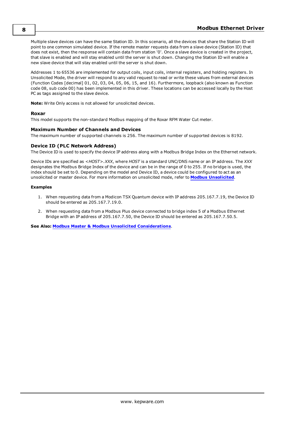Multiple slave devices can have the same Station ID. In this scenario, all the devices that share the Station ID will point to one common simulated device. If the remote master requests data from a slave device (Station ID) that does not exist, then the response will contain data from station '0'. Once a slave device is created in the project, that slave is enabled and will stay enabled until the server is shut down. Changing the Station ID will enable a new slave device that will stay enabled until the server is shut down.

Addresses 1 to 65536 are implemented for output coils, input coils, internal registers, and holding registers. In Unsolicited Mode, the driver will respond to any valid request to read or write these values from external devices (Function Codes [decimal] 01, 02, 03, 04, 05, 06, 15, and 16). Furthermore, loopback (also known as Function code 08, sub code 00) has been implemented in this driver. These locations can be accessed locally by the Host PC as tags assigned to the slave device.

<span id="page-7-0"></span>**Note:** Write Only access is not allowed for unsolicited devices.

# **Roxar**

This model supports the non-standard Modbus mapping of the Roxar RFM Water Cut meter.

# **Maximum Number of Channels and Devices**

<span id="page-7-1"></span>The maximum number of supported channels is 256. The maximum number of supported devices is 8192.

# **Device ID (PLC Network Address)**

The Device ID is used to specify the device IP address along with a Modbus Bridge Index on the Ethernet network.

Device IDs are specified as *<HOST>.XXX*, where *HOST* is a standard UNC/DNS name or an IP address. The *XXX* designates the Modbus Bridge Index of the device and can be in the range of 0 to 255. If no bridge is used, the index should be set to 0. Depending on the model and Device ID, a device could be configured to act as an unsolicited or master device. For more information on unsolicited mode, refer to **Modbus [Unsolicited](#page-6-8)**.

## **Examples**

- 1. When requesting data from a Modicon TSX Quantum device with IP address 205.167.7.19, the Device ID should be entered as 205.167.7.19.0.
- 2. When requesting data from a Modbus Plus device connected to bridge index 5 of a Modbus Ethernet Bridge with an IP address of 205.167.7.50, the Device ID should be entered as 205.167.7.50.5.

**See Also: Modbus Master & Modbus Unsolicited [Considerations](#page-17-0)**.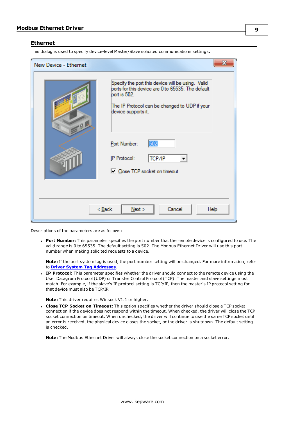# <span id="page-8-0"></span>**Ethernet**

This dialog is used to specify device-level Master/Slave solicited communications settings.

| New Device - Ethernet            | х                                                                                                                                                                                              |  |  |  |
|----------------------------------|------------------------------------------------------------------------------------------------------------------------------------------------------------------------------------------------|--|--|--|
| .9                               | Specify the port this device will be using. Valid<br>ports for this device are 0 to 65535. The default<br>port is 502.<br>The IP Protocol can be changed to UDP if your<br>device supports it. |  |  |  |
|                                  | 502<br>Port Number:<br>IP Protocol:<br>TCP/IP<br>□ Close TCP socket on timeout                                                                                                                 |  |  |  |
| Cancel<br>$Back$<br>Next<br>Help |                                                                                                                                                                                                |  |  |  |

Descriptions of the parameters are as follows:

<sup>l</sup> **Port Number:** This parameter specifies the port number that the remote device is configured to use. The valid range is 0 to 65535. The default setting is 502. The Modbus Ethernet Driver will use this port number when making solicited requests to a device.

**Note:** If the port system tag is used, the port number setting will be changed. For more information, refer to **Driver System Tag [Addresses](#page-25-1)**.

**IP Protocol:** This parameter specifies whether the driver should connect to the remote device using the User Datagram Protocol (UDP) or Transfer Control Protocol (TCP). The master and slave settings must match. For example, if the slave's IP protocol setting is TCP/IP, then the master's IP protocol setting for that device must also be TCP/IP.

**Note:** This driver requires Winsock V1.1 or higher.

<sup>l</sup> **Close TCP Socket on Timeout:** This option specifies whether the driver should close a TCP socket connection if the device does not respond within the timeout. When checked, the driver will close the TCP socket connection on timeout. When unchecked, the driver will continue to use the same TCP socket until an error is received, the physical device closes the socket, or the driver is shutdown. The default setting is checked.

**Note:** The Modbus Ethernet Driver will always close the socket connection on a socket error.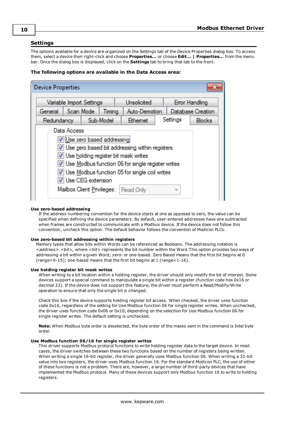# <span id="page-9-0"></span>**Settings**

The options available for a device are organized on the Settings tab of the Device Properties dialog box. To access them, select a device then right-click and choose **Properties...** or choose **Edit... | Properties...** from the menu bar. Once the dialog box is displayed, click on the **Settings** tab to bring that tab to the front.

# **The following options are available in the Data Access area:**

| <b>Device Properties</b>                                                                                                                                                                                                                                                                                           |                                         |                     |  |        |               |  |          |                   |
|--------------------------------------------------------------------------------------------------------------------------------------------------------------------------------------------------------------------------------------------------------------------------------------------------------------------|-----------------------------------------|---------------------|--|--------|---------------|--|----------|-------------------|
|                                                                                                                                                                                                                                                                                                                    | Unsolicited<br>Variable Import Settings |                     |  |        |               |  |          | Error Handling    |
|                                                                                                                                                                                                                                                                                                                    |                                         | General   Scan Mode |  | Timing | Auto-Demotion |  |          | Database Creation |
|                                                                                                                                                                                                                                                                                                                    | Sub-Model<br>Redundancy                 |                     |  |        | Ethemet       |  | Settings | <b>Blocks</b>     |
| Data Access<br>V Use zero based addressing<br>Use zero based bit addressing within registers<br>V Use holding register bit mask writes<br>V Use Modbus function 06 for single register writes<br>V Use Modbus function 05 for single coil writes<br>V Use CEG extension<br>Mailbox Client Privileges:<br>Read Only |                                         |                     |  |        |               |  |          |                   |

#### **Use zero-based addressing**

If the address numbering convention for the device starts at one as opposed to zero, the value can be specified when defining the device parameters. By default, user-entered addresses have one subtracted when frames are constructed to communicate with a Modbus device. If the device does not follow this convention, uncheck this option. The default behavior follows the convention of Modicon PLCs.

#### **Use zero-based bit addressing within registers**

Memory types that allow bits within Words can be referenced as Booleans. The addressing notation is *<address>.<bit>,* where *<bit>* represents the bit number within the Word.This option provides two ways of addressing a bit within a given Word; zero- or one-based. Zero Based means that the first bit begins at 0 (range=0-15); one-based means that the first bit begins at 1 (range=1-16).

#### **Use holding register bit mask writes**

When writing to a bit location within a holding register, the driver should only modify the bit of interest. Some devices support a special command to manipulate a single bit within a register (function code hex 0x16 or decimal 22). If the device does not support this feature, the driver must perform a Read/Modify/Write operation to ensure that only the single bit is changed.

Check this box if the device supports holding register bit access. When checked, the driver uses function code 0x16, regardless of the setting for Use Modbus function 06 for single register writes. When unchecked, the driver uses function code 0x06 or 0x10, depending on the selection for Use Modbus function 06 for single register writes. The default setting is unchecked.

**Note:** When Modbus byte order is deselected, the byte order of the masks sent in the command is Intel byte order.

#### **Use Modbus function 06/16 for single register writes**

This driver supports Modbus protocol functions to write holding register data to the target device. In most cases, the driver switches between these two functions based on the number of registers being written. When writing a single 16-bit register, the driver generally uses Modbus function 06. When writing a 32-bit value into two registers, the driver uses Modbus function 16. For the standard Modicon PLC, the use of either of these functions is not a problem. There are, however, a large number of third-party devices that have implemented the Modbus protocol. Many of these devices support only Modbus function 16 to write to holding registers.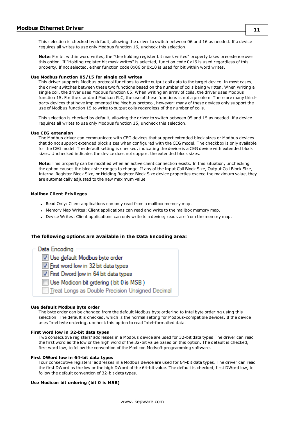This selection is checked by default, allowing the driver to switch between 06 and 16 as needed. If a device requires all writes to use only Modbus function 16, uncheck this selection.

**Note:** For bit within word writes, the "Use holding register bit mask writes" property takes precedence over this option. If "Holding register bit mask writes" is selected, function code 0x16 is used regardless of this property. If not selected, either function code 0x06 or 0x10 is used for bit within word writes.

#### **Use Modbus function 05/15 for single coil writes**

This driver supports Modbus protocol functions to write output coil data to the target device. In most cases, the driver switches between these two functions based on the number of coils being written. When writing a single coil, the driver uses Modbus function 05. When writing an array of coils, the driver uses Modbus function 15. For the standard Modicon PLC, the use of these functions is not a problem. There are many thirdparty devices that have implemented the Modbus protocol, however: many of these devices only support the use of Modbus function 15 to write to output coils regardless of the number of coils.

This selection is checked by default, allowing the driver to switch between 05 and 15 as needed. If a device requires all writes to use only Modbus function 15, uncheck this selection.

#### **Use CEG extension**

The Modbus driver can communicate with CEG devices that support extended block sizes or Modbus devices that do not support extended block sizes when configured with the CEG model. The checkbox is only available for the CEG model. The default setting is checked, indicating the device is a CEG device with extended block sizes. Unchecked indicates the device does not support the extended block sizes.

**Note:** This property can be modified when an active client connection exists. In this situation, unchecking the option causes the block size ranges to change. If any of the Input Coil Block Size, Output Coil Block Size, Internal Register Block Size, or Holding Register Block Size device properties exceed the maximum value, they are automatically adjusted to the new maximum value.

## <span id="page-10-0"></span>**Mailbox Client Privileges**

- . Read Only: Client applications can only read from a mailbox memory map.
- Memory Map Writes: Client applications can read and write to the mailbox memory map.
- Device Writes: Client applications can only write to a device; reads are from the memory map.

## **The following options are available in the Data Encoding area:**

Data Encoding V Use default Modbus byte order To First word low in 32 bit data types To First Dword low in 64 bit data types Use Modicon bit ordering (bit 0 is MSB) Treat Longs as Double Precision Unsigned Decimal

#### **Use default Modbus byte order**

The byte order can be changed from the default Modbus byte ordering to Intel byte ordering using this selection. The default is checked, which is the normal setting for Modbus-compatible devices. If the device uses Intel byte ordering, uncheck this option to read Intel-formatted data.

## **First word low in 32-bit data types**

Two consecutive registers' addresses in a Modbus device are used for 32-bit data types.The driver can read the first word as the low or the high word of the 32-bit value based on this option. The default is checked, first word low, to follow the convention of the Modicon Modsoft programming software.

#### **First DWord low in 64-bit data types**

Four consecutive registers' addresses in a Modbus device are used for 64-bit data types. The driver can read the first DWord as the low or the high DWord of the 64-bit value. The default is checked, first DWord low, to follow the default convention of 32-bit data types.

## **Use Modicon bit ordering (bit 0 is MSB)**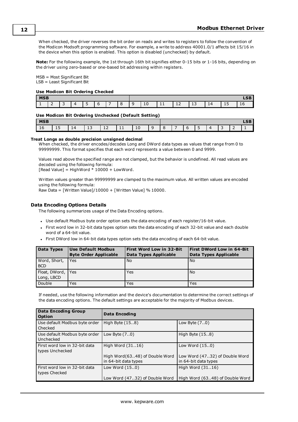When checked, the driver reverses the bit order on reads and writes to registers to follow the convention of the Modicon Modsoft programming software. For example, a write to address 40001.0/1 affects bit 15/16 in the device when this option is enabled. This option is disabled (unchecked) by default.

**Note:** For the following example, the 1st through 16th bit signifies either 0-15 bits or 1-16 bits, depending on the driver using zero-based or one-based bit addressing within registers.

MSB = Most Significant Bit LSB = Least Significant Bit

## **Use Modicon Bit Ordering Checked**

| <b>MSB</b> |        |   |  |                          |  |  |  |   |    |                |                    | I CD<br>LJD |   |        |    |
|------------|--------|---|--|--------------------------|--|--|--|---|----|----------------|--------------------|-------------|---|--------|----|
|            | -<br>- | - |  | $\overline{\phantom{0}}$ |  |  |  | ∼ | τn | -<br><b>TT</b> | $\sim$ $\sim$<br>ᆠ | ∸ →         | ᆠ | -<br>ᅩ | ∸~ |

#### **Use Modicon Bit Ordering Unchecked (Default Setting)**

| <b>MSB</b> |          |    |                     |   |           |    |   |                          |   |                          | $\mathbf{c}$<br>œ |   |   |
|------------|----------|----|---------------------|---|-----------|----|---|--------------------------|---|--------------------------|-------------------|---|---|
| ⊥∪         | -<br>∸ ~ | 14 | $\overline{ }$<br>ᅩ | ᆠ | <b>TT</b> | 10 | ີ | $\overline{\phantom{0}}$ | - | $\overline{\phantom{0}}$ |                   | - | - |

#### **Treat Longs as double precision unsigned decimal**

When checked, the driver encodes/decodes Long and DWord data types as values that range from 0 to 99999999. This format specifies that each word represents a value between 0 and 9999.

Values read above the specified range are not clamped, but the behavior is undefined. All read values are decoded using the following formula:

 $[Read Value] = HighWord * 10000 + LowWord.$ 

Written values greater than 99999999 are clamped to the maximum value. All written values are encoded using the following formula:

Raw Data =  $[Writeed 10000 + [Writeed 1000].$ 

## **Data Encoding Options Details**

The following summarizes usage of the Data Encoding options.

- Use default Modbus byte order option sets the data encoding of each register/16-bit value.
- First word low in 32-bit data types option sets the data encoding of each 32-bit value and each double word of a 64-bit value.
- <sup>l</sup> First DWord low in 64-bit data types option sets the data encoding of each 64-bit value.

| <b>Data Types</b>               | <b>Use Default Modbus</b><br><b>Byte Order Applicable</b> | <b>First Word Low in 32-Bit</b><br>Data Types Applicable | <b>First DWord Low in 64-Bit</b><br>Data Types Applicable |
|---------------------------------|-----------------------------------------------------------|----------------------------------------------------------|-----------------------------------------------------------|
| Word, Short,<br><b>BCD</b>      | l Yes                                                     | <b>No</b>                                                | No                                                        |
| Float, DWord, Yes<br>Long, LBCD |                                                           | Yes                                                      | No                                                        |
| Double                          | Yes                                                       | Yes                                                      | Yes                                                       |

If needed, use the following information and the device's documentation to determine the correct settings of the data encoding options. The default settings are acceptable for the majority of Modbus devices.

| <b>Data Encoding Group</b><br><b>Option</b>      | <b>Data Encoding</b>                                   |                                                        |
|--------------------------------------------------|--------------------------------------------------------|--------------------------------------------------------|
| Use default Modbus byte order<br><b>Checked</b>  | High Byte (158)                                        | Low Byte $(7.0)$                                       |
| Use default Modbus byte order<br>Unchecked       | Low Byte $(7.0)$                                       | High Byte $(158)$                                      |
| First word low in 32-bit data<br>types Unchecked | High Word (3116)                                       | Low Word (150)                                         |
|                                                  | High Word(6348) of Double Word<br>in 64-bit data types | Low Word (4732) of Double Word<br>in 64-bit data types |
| First word low in 32-bit data<br>types Checked   | Low Word (150)                                         | High Word (3116)                                       |
|                                                  | Low Word (4732) of Double Word                         | High Word (6348) of Double Word                        |

**12**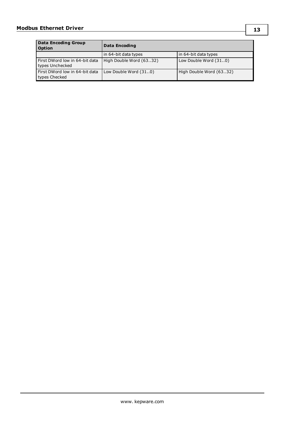| <b>Data Encoding Group</b><br><b>Option</b>       | Data Encoding           |                         |
|---------------------------------------------------|-------------------------|-------------------------|
|                                                   | in 64-bit data types    | in 64-bit data types    |
| First DWord low in 64-bit data<br>types Unchecked | High Double Word (6332) | Low Double Word (310)   |
| First DWord low in 64-bit data<br>types Checked   | Low Double Word (310)   | High Double Word (6332) |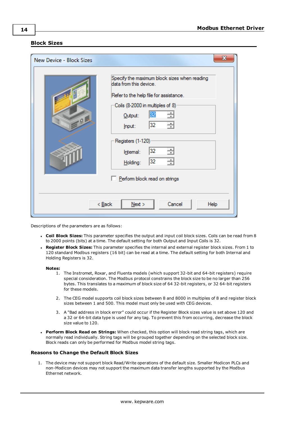# <span id="page-13-0"></span>**Block Sizes**

| New Device - Block Sizes | $\mathbf{x}$                                                                                                                                                                                                                                                                                         |
|--------------------------|------------------------------------------------------------------------------------------------------------------------------------------------------------------------------------------------------------------------------------------------------------------------------------------------------|
| $= 0.12$                 | Specify the maximum block sizes when reading<br>data from this device.<br>Refer to the help file for assistance.<br>Coils (8-2000 in multiples of 8)<br>÷<br>32<br>Output:<br>÷<br>32<br>Input:<br>Registers (1-120)<br>32<br>÷<br>Internal:<br>32<br>÷<br>Holding:<br>Perform block read on strings |
|                          | $Back$<br>Cancel<br>Next<br>Help                                                                                                                                                                                                                                                                     |

Descriptions of the parameters are as follows:

- <sup>l</sup> **Coil Block Sizes:** This parameter specifies the output and input coil block sizes. Coils can be read from 8 to 2000 points (bits) at a time. The default setting for both Output and Input Coils is 32.
- <sup>l</sup> **Register Block Sizes:** This parameter specifies the internal and external register block sizes. From 1 to 120 standard Modbus registers (16 bit) can be read at a time. The default setting for both Internal and Holding Registers is 32.

#### **Notes:**

- 1. The Instromet, Roxar, and Fluenta models (which support 32-bit and 64-bit registers) require special consideration. The Modbus protocol constrains the block size to be no larger than 256 bytes. This translates to a maximum of block size of 64 32-bit registers, or 32 64-bit registers for these models.
- 2. The CEG model supports coil block sizes between 8 and 8000 in multiples of 8 and register block sizes between 1 and 500. This model must only be used with CEG devices.
- 3. A "Bad address in block error" could occur if the Register Block sizes value is set above 120 and a 32 or 64-bit data type is used for any tag. To prevent this from occurring, decrease the block size value to 120.
- <sup>l</sup> **Perform Block Read on Strings:** When checked, this option will block read string tags, which are normally read individually. String tags will be grouped together depending on the selected block size. Block reads can only be performed for Modbus model string tags.

#### **Reasons to Change the Default Block Sizes**

1. The device may not support block Read/Write operations of the default size. Smaller Modicon PLCs and non-Modicon devices may not support the maximum data transfer lengths supported by the Modbus Ethernet network.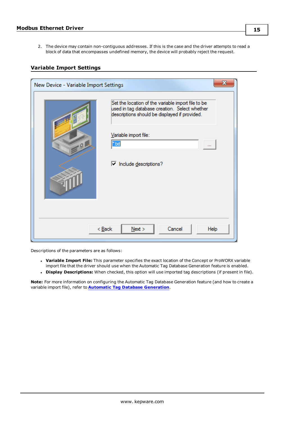2. The device may contain non-contiguous addresses. If this is the case and the driver attempts to read a block of data that encompasses undefined memory, the device will probably reject the request.

# <span id="page-14-0"></span>**Variable Import Settings**

| х<br>New Device - Variable Import Settings |                                                                                                                                                      |  |  |  |  |
|--------------------------------------------|------------------------------------------------------------------------------------------------------------------------------------------------------|--|--|--|--|
|                                            | Set the location of the variable import file to be<br>used in tag database creation. Select whether<br>descriptions should be displayed if provided. |  |  |  |  |
| $-9$                                       | Variable import file:<br>*.bd<br>$\cdots$                                                                                                            |  |  |  |  |
|                                            | $\triangledown$ Include descriptions?                                                                                                                |  |  |  |  |
| Cancel<br>< Back<br>Next<br>Help           |                                                                                                                                                      |  |  |  |  |

Descriptions of the parameters are as follows:

- <sup>l</sup> **Variable Import File:** This parameter specifies the exact location of the Concept or ProWORX variable import file that the driver should use when the Automatic Tag Database Generation feature is enabled.
- <sup>l</sup> **Display Descriptions:** When checked, this option will use imported tag descriptions (if present in file).

**Note:** For more information on configuring the Automatic Tag Database Generation feature (and how to create a variable import file), refer to **Automatic Tag Database [Generation](#page-18-0)**.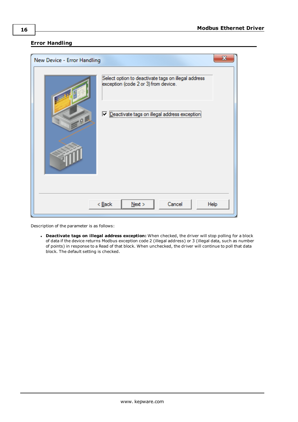# <span id="page-15-0"></span>**Error Handling**

| New Device - Error Handling | x                                                                                           |
|-----------------------------|---------------------------------------------------------------------------------------------|
|                             | Select option to deactivate tags on illegal address<br>exception (code 2 or 3) from device. |
| $= 01$                      | Deactivate tags on illegal address exception                                                |
|                             |                                                                                             |
|                             |                                                                                             |
|                             | Cancel<br>$<$ Back<br>Next<br>Help                                                          |

Description of the parameter is as follows:

<sup>l</sup> **Deactivate tags on illegal address exception:** When checked, the driver will stop polling for a block of data if the device returns Modbus exception code 2 (illegal address) or 3 (illegal data, such as number of points) in response to a Read of that block. When unchecked, the driver will continue to poll that data block. The default setting is checked.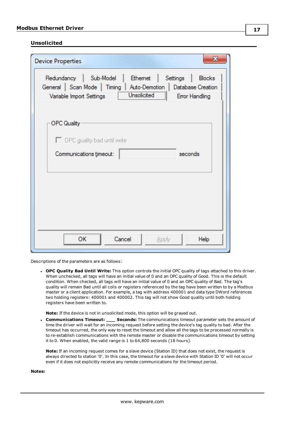# <span id="page-16-0"></span>**Unsolicited**

| $\mathbf x$<br><b>Device Properties</b>                                                                                                                                                       |
|-----------------------------------------------------------------------------------------------------------------------------------------------------------------------------------------------|
| Redundancy   Sub-Model   Ethemet<br>Settings   Blocks<br>General   Scan Mode   Timing   Auto-Demotion   Database Creation<br>Unsolicited<br>Variable Import Settings<br><b>Error Handling</b> |
| <b>OPC Quality</b><br>$\Box$ OPC guality bad until write                                                                                                                                      |
| Communications timeout:<br>seconds                                                                                                                                                            |
|                                                                                                                                                                                               |
| <b>OK</b><br>Cancel<br>Help<br>Apply                                                                                                                                                          |

Descriptions of the parameters are as follows:

<sup>l</sup> **OPC Quality Bad Until Write:** This option controls the initial OPC quality of tags attached to this driver. When unchecked, all tags will have an initial value of 0 and an OPC quality of Good. This is the default condition. When checked, all tags will have an initial value of 0 and an OPC quality of Bad. The tag's quality will remain Bad until all coils or registers referenced by the tag have been written to by a Modbus master or a client application. For example, a tag with address 400001 and data type DWord references two holding registers: 400001 and 400002. This tag will not show Good quality until both holding registers have been written to.

<span id="page-16-1"></span>**Note:** If the device is not in unsolicited mode, this option will be grayed out.

<sup>l</sup> **Communications Timeout: \_\_\_ Seconds:** The communications timeout parameter sets the amount of time the driver will wait for an incoming request before setting the device's tag quality to bad. After the timeout has occurred, the only way to reset the timeout and allow all the tags to be processed normally is to re-establish communications with the remote master or disable the communications timeout by setting it to 0. When enabled, the valid range is 1 to 64,800 seconds (18 hours).

**Note:** If an incoming request comes for a slave device (Station ID) that does not exist, the request is always directed to station '0'. In this case, the timeout for a slave device with Station ID '0' will not occur even if it does not explicitly receive any remote communications for the timeout period.

**Notes:**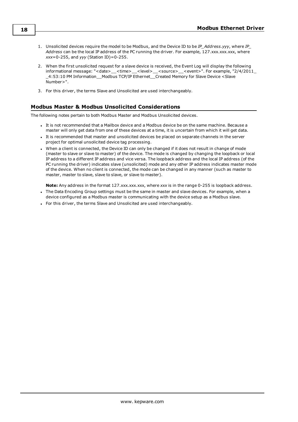- 1. Unsolicited devices require the model to be Modbus, and the Device ID to be *IP\_Address.yyy*, where *IP\_ Address* can be the local IP address of the PC running the driver. For example, 127.xxx.xxx.xxx, where *xxx*=0-255, and *yyy* (Station ID)=0-255.
- 2. When the first unsolicited request for a slave device is received, the Event Log will display the following informational message: "<date>\_\_<time>\_\_<level>\_\_<source>\_\_<event>". For example, "2/4/2011\_ \_4:53:10 PM Information\_\_Modbus TCP/IP Ethernet\_\_Created Memory for Slave Device <Slave Number>".
- 3. For this driver, the terms Slave and Unsolicited are used interchangeably.

# <span id="page-17-0"></span>**Modbus Master & Modbus Unsolicited Considerations**

The following notes pertain to both Modbus Master and Modbus Unsolicited devices.

- <sup>l</sup> It is not recommended that a Mailbox device and a Modbus device be on the same machine. Because a master will only get data from one of these devices at a time, it is uncertain from which it will get data.
- It is recommended that master and unsolicited devices be placed on separate channels in the server project for optimal unsolicited device tag processing.
- When a client is connected, the Device ID can only be changed if it does not result in change of mode (master to slave or slave to master) of the device. The mode is changed by changing the loopback or local IP address to a different IP address and vice versa. The loopback address and the local IP address (of the PC running the driver) indicates slave (unsolicited) mode and any other IP address indicates master mode of the device. When no client is connected, the mode can be changed in any manner (such as master to master, master to slave, slave to slave, or slave to master).

**Note:** Any address in the format 127.xxx.xxx.xxx, where *xxx* is in the range 0-255 is loopback address.

- The Data Encoding Group settings must be the same in master and slave devices. For example, when a device configured as a Modbus master is communicating with the device setup as a Modbus slave.
- For this driver, the terms Slave and Unsolicited are used interchangeably.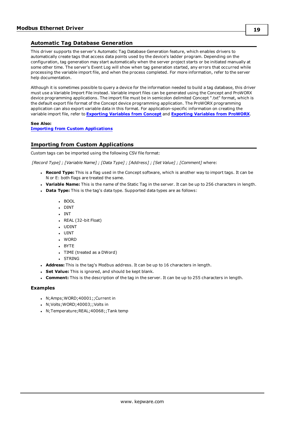# <span id="page-18-0"></span>**Automatic Tag Database Generation**

This driver supports the server's Automatic Tag Database Generation feature, which enables drivers to automatically create tags that access data points used by the device's ladder program. Depending on the configuration, tag generation may start automatically when the server project starts or be initiated manually at some other time. The server's Event Log will show when tag generation started, any errors that occurred while processing the variable import file, and when the process completed. For more information, refer to the server help documentation.

Although it is sometimes possible to query a device for the information needed to build a tag database, this driver must use a Variable Import File instead. Variable import files can be generated using the Concept and ProWORX device programming applications. The import file must be in semicolon delimited Concept ".txt" format, which is the default export file format of the Concept device programming application. The ProWORX programming application can also export variable data in this format. For application-specific information on creating the variable import file, refer to **[Exporting](#page-19-0) Variables from Concept** and **[Exporting](#page-21-0) Variables from ProWORX**.

# **See Also:**

**Importing from Custom [Applications](#page-18-1)**

# <span id="page-18-1"></span>**Importing from Custom Applications**

Custom tags can be imported using the following CSV file format:

*[Record Type] ; [Variable Name] ; [Data Type] ; [Address] ; [Set Value] ; [Comment]* where:

- **Record Type:** This is a flag used in the Concept software, which is another way to import tags. It can be N or E: both flags are treated the same.
- **· Variable Name:** This is the name of the Static Tag in the server. It can be up to 256 characters in length.
- **Data Type:** This is the tag's data type. Supported data types are as follows:
	- <sup>l</sup> BOOL
	- DINT
	- <sup>l</sup> INT
	- REAL (32-bit Float)
	- . UDINT
	- <sup>l</sup> UINT
	- WORD
	- BYTE
	- TIME (treated as a DWord)
	- **.** STRING
- **Address:** This is the tag's Modbus address. It can be up to 16 characters in length.
- **Set Value:** This is ignored, and should be kept blank.
- <sup>l</sup> **Comment:** This is the description of the tag in the server. It can be up to 255 characters in length.

# **Examples**

- <sup>l</sup> N;Amps;WORD;40001;;Current in
- N;Volts;WORD;40003;;Volts in
- N;Temperature;REAL;40068;;Tank temp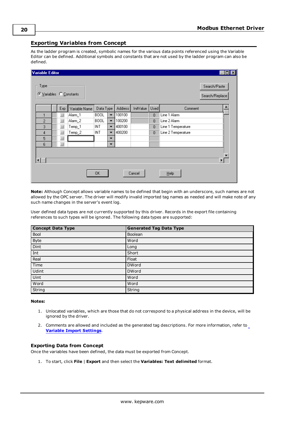# <span id="page-19-0"></span>**Exporting Variables from Concept**

As the ladder program is created, symbolic names for the various data points referenced using the Variable Editor can be defined. Additional symbols and constants that are not used by the ladder program can also be defined.

| Variable Editor                 |     |               |             |                          |         |           |                |                    | $\Box$ o $\times$              |
|---------------------------------|-----|---------------|-------------|--------------------------|---------|-----------|----------------|--------------------|--------------------------------|
| Type<br>C Variables C Constants |     |               |             |                          |         |           |                |                    | Search/Paste<br>Search/Replace |
|                                 | Exp | Variable Name | Data Type   |                          | Address | InitValue | Used           | Comment            |                                |
| 1                               |     | Alarm_1       | <b>BOOL</b> | $\overline{\phantom{a}}$ | 100100  |           | $\overline{0}$ | Line 1 Alarm       |                                |
| 2                               | ■   | Alarm_2       | <b>BOOL</b> | $\overline{\phantom{a}}$ | 100200  |           | $\overline{0}$ | Line 2 Alarm       |                                |
| 3                               | ⊐   | Temp_1        | <b>INT</b>  | $\overline{\phantom{0}}$ | 400100  |           | $\mathbf{0}$   | Line 1 Temperature |                                |
| 4                               | ┚   | $Temp_2$      | INT         | $\overline{\phantom{a}}$ | 400200  |           | $\overline{0}$ | Line 2 Temperature |                                |
| 5                               | ⊐   |               |             | ▼                        |         |           |                |                    |                                |
| 6                               | m.  |               |             | $\overline{\phantom{a}}$ |         |           |                |                    |                                |
| ⊣                               |     |               |             |                          |         |           |                |                    | $\blacktriangleright$          |
|                                 |     |               | OΚ          |                          |         | Cancel    |                | $He$ lp            |                                |

**Note:** Although Concept allows variable names to be defined that begin with an underscore, such names are not allowed by the OPC server. The driver will modify invalid imported tag names as needed and will make note of any such name changes in the server's event log.

User defined data types are not currently supported by this driver. Records in the export file containing references to such types will be ignored. The following data types are supported:

| <b>Concept Data Type</b> | <b>Generated Tag Data Type</b> |
|--------------------------|--------------------------------|
| Bool                     | Boolean                        |
| Byte                     | Word                           |
| Dint                     | Long                           |
| Int                      | Short                          |
| Real                     | Float                          |
| Time                     | <b>DWord</b>                   |
| Udint                    | <b>DWord</b>                   |
| Uint                     | Word                           |
| Word                     | Word                           |
| String                   | String                         |

## **Notes:**

- 1. Unlocated variables, which are those that do not correspond to a physical address in the device, will be ignored by the driver.
- 2. Comments are allowed and included as the generated tag descriptions. For more information, refer to **Variable Import [Settings](#page-14-0)**.

## **Exporting Data from Concept**

Once the variables have been defined, the data must be exported from Concept.

1. To start, click **File** | **Export** and then select the **Variables: Text delimited** format.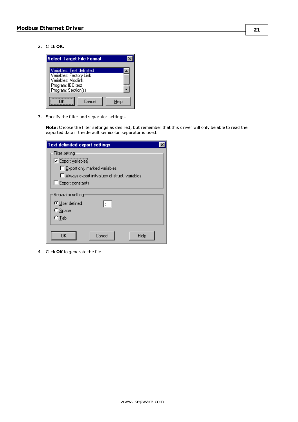2. Click **OK.**



3. Specify the filter and separator settings.

**Note:** Choose the filter settings as desired, but remember that this driver will only be able to read the exported data if the default semicolon separator is used.

| <b>Text delimited export settings</b>                            |  |
|------------------------------------------------------------------|--|
| Filter setting                                                   |  |
| Export variables                                                 |  |
| Export only marked variables                                     |  |
| Always export initvalues of struct, variables                    |  |
| Export constants                                                 |  |
| Separator setting<br>C User defined<br>$\bigcirc$ Space<br>C Tab |  |
| OK<br>Cancel<br>Help                                             |  |

4. Click **OK** to generate the file.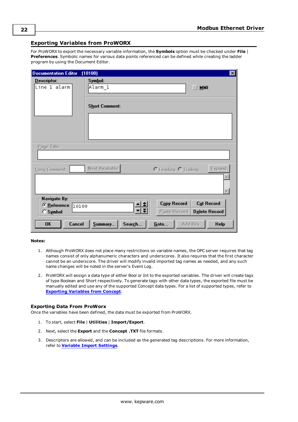# <span id="page-21-0"></span>**Exporting Variables from ProWORX**

For ProWORX to export the necessary variable information, the **Symbols** option must be checked under **File** | **Preferences**. Symbolic names for various data points referenced can be defined while creating the ladder program by using the Document Editor.

| Documentation Editor                              | (10100)                                     | ⊠                                                                 |
|---------------------------------------------------|---------------------------------------------|-------------------------------------------------------------------|
| Descriptor:<br>Line 1 alarm                       | Symbol:<br>Alarm_l<br><b>Short Comment:</b> | <b>MMI</b>                                                        |
| Page Title:                                       |                                             |                                                                   |
|                                                   |                                             |                                                                   |
| Long Comment:                                     | Next Available                              | Expand<br>O Leading O Trailing                                    |
|                                                   |                                             |                                                                   |
| Navigate By:<br>© Reference<br>10ס0<br>$C$ Symbol |                                             | <b>Copy Record</b><br>Cut Record<br>Delete Record<br>Paste Record |
| 0K<br>Cancel                                      | Summary<br>Search                           | Goto<br>Add Bits<br><b>Help</b>                                   |

# **Notes:**

- 1. Although ProWORX does not place many restrictions on variable names, the OPC server requires that tag names consist of only alphanumeric characters and underscores. It also requires that the first character cannot be an underscore. The driver will modify invalid imported tag names as needed, and any such name changes will be noted in the server's Event Log.
- 2. ProWORX will assign a data type of either Bool or Int to the exported variables. The driver will create tags of type Boolean and Short respectively. To generate tags with other data types, the exported file must be manually edited and use any of the supported Concept data types. For a list of supported types, refer to **[Exporting](#page-19-0) Variables from Concept**.

# **Exporting Data From ProWorx**

Once the variables have been defined, the data must be exported from ProWORX.

- 1. To start, select **File** | **Utilities** | **Import/Export**.
- 2. Next, select the **Export** and the **Concept .TXT** file formats.
- 3. Descriptors are allowed, and can be included as the generated tag descriptions. For more information, refer to **Variable Import [Settings](#page-14-0)**.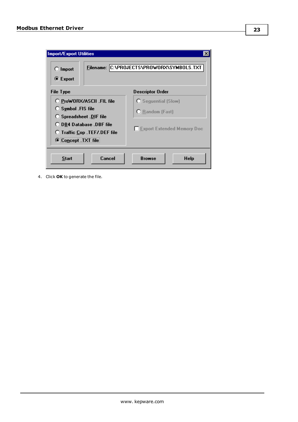| <b>Import/Export Utilities</b><br>$\bigcirc$ Import<br><b>■</b> Export                                                                                                          | Filename: C:\PROJECTS\PROWORX\SYMBOLS.TXT                                                 |
|---------------------------------------------------------------------------------------------------------------------------------------------------------------------------------|-------------------------------------------------------------------------------------------|
| File Type                                                                                                                                                                       | <b>Descriptor Order</b>                                                                   |
| O ProWORX/ASCII .FIL file<br>$O$ Symbol . FIS file<br><b>O</b> Spreadsheet .DIF file<br>◯ DB4 Database .DBF file<br><b>O</b> Traffic Cop .TEF/.DEF file<br>C Concept . TXT file | <b>C</b> Sequential (Slow)<br><b>O</b> Random (Fast)<br><b>Export Extended Memory Doc</b> |
| Cancel<br><b>Start</b>                                                                                                                                                          | <b>Browse</b><br>Help                                                                     |

4. Click **OK** to generate the file.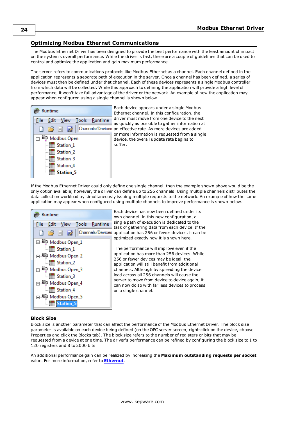# <span id="page-23-0"></span>**Optimizing Modbus Ethernet Communications**

The Modbus Ethernet Driver has been designed to provide the best performance with the least amount of impact on the system's overall performance. While the driver is fast, there are a couple of guidelines that can be used to control and optimize the application and gain maximum performance.

The server refers to communications protocols like Modbus Ethernet as a channel. Each channel defined in the application represents a separate path of execution in the server. Once a channel has been defined, a series of devices must then be defined under that channel. Each of these devices represents a single Modbus controller from which data will be collected. While this approach to defining the application will provide a high level of performance, it won't take full advantage of the driver or the network. An example of how the application may appear when configured using a single channel is shown below.



Each device appears under a single Modbus Ethernet channel. In this configuration, the driver must move from one device to the next as quickly as possible to gather information at Channels/Devices an effective rate. As more devices are added or more information is requested from a single device, the overall update rate begins to suffer.

If the Modbus Ethernet Driver could only define one single channel, then the example shown above would be the only option available; however, the driver can define up to 256 channels. Using multiple channels distributes the data collection workload by simultaneously issuing multiple requests to the network. An example of how the same application may appear when configured using multiple channels to improve performance is shown below.



Each device has now been defined under its own channel. In this new configuration, a single path of execution is dedicated to the task of gathering data from each device. If the application has 256 or fewer devices, it can be optimized exactly how it is shown here.

> The performance will improve even if the application has more than 256 devices. While 256 or fewer devices may be ideal, the application will still benefit from additional channels. Although by spreading the device load across all 256 channels will cause the server to move from device to device again, it can now do so with far less devices to process on a single channel.

## **Block Size**

Block size is another parameter that can affect the performance of the Modbus Ethernet Driver. The block size parameter is available on each device being defined (on the OPC server screen, right-click on the device, choose Properties and click the Blocks tab). The block size refers to the number of registers or bits that may be requested from a device at one time. The driver's performance can be refined by configuring the block size to 1 to 120 registers and 8 to 2000 bits.

An additional performance gain can be realized by increasing the **Maximum outstanding requests per socket** value. For more information, refer to **[Ethernet](#page-4-1)**.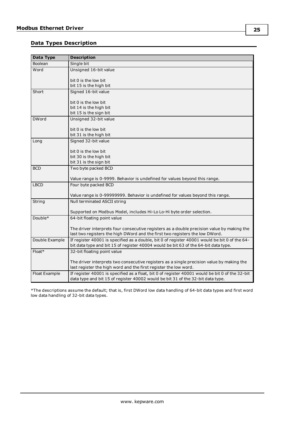# <span id="page-24-0"></span>**Data Types Description**

| Data Type      | <b>Description</b>                                                                                 |
|----------------|----------------------------------------------------------------------------------------------------|
| <b>Boolean</b> | Single bit                                                                                         |
| Word           | Unsigned 16-bit value                                                                              |
|                |                                                                                                    |
|                | bit 0 is the low bit                                                                               |
|                | bit 15 is the high bit                                                                             |
| Short          | Signed 16-bit value                                                                                |
|                | bit 0 is the low bit                                                                               |
|                | bit 14 is the high bit                                                                             |
|                | bit 15 is the sign bit                                                                             |
| <b>DWord</b>   | Unsigned 32-bit value                                                                              |
|                |                                                                                                    |
|                | bit 0 is the low bit<br>bit 31 is the high bit                                                     |
| Long           | Signed 32-bit value                                                                                |
|                |                                                                                                    |
|                | bit 0 is the low bit                                                                               |
|                | bit 30 is the high bit                                                                             |
|                | bit 31 is the sign bit                                                                             |
| <b>BCD</b>     | Two byte packed BCD                                                                                |
|                |                                                                                                    |
| <b>LBCD</b>    | Value range is 0-9999. Behavior is undefined for values beyond this range.<br>Four byte packed BCD |
|                |                                                                                                    |
|                | Value range is 0-99999999. Behavior is undefined for values beyond this range.                     |
| String         | Null terminated ASCII string                                                                       |
|                |                                                                                                    |
|                | Supported on Modbus Model, includes Hi-Lo Lo-Hi byte order selection.                              |
| Double*        | 64-bit floating point value                                                                        |
|                | The driver interprets four consecutive registers as a double precision value by making the         |
|                | last two registers the high DWord and the first two registers the low DWord.                       |
| Double Example | If register 40001 is specified as a double, bit 0 of register 40001 would be bit 0 of the 64-      |
|                | bit data type and bit 15 of register 40004 would be bit 63 of the 64-bit data type.                |
| Float*         | 32-bit floating point value                                                                        |
|                |                                                                                                    |
|                | The driver interprets two consecutive registers as a single precision value by making the          |
|                | last register the high word and the first register the low word.                                   |
| Float Example  | If register 40001 is specified as a float, bit 0 of register 40001 would be bit 0 of the 32-bit    |
|                | data type and bit 15 of register 40002 would be bit 31 of the 32-bit data type.                    |

\*The descriptions assume the default; that is, first DWord low data handling of 64-bit data types and first word low data handling of 32-bit data types.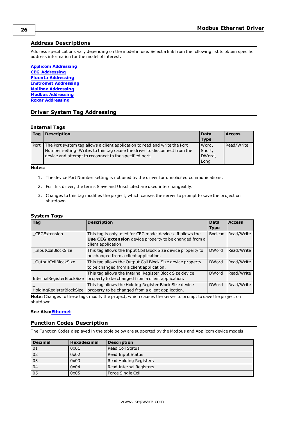# <span id="page-25-0"></span>**Address Descriptions**

Address specifications vary depending on the model in use. Select a link from the following list to obtain specific address information for the model of interest.

**Applicom [Addressing](#page-26-0) CEG [Addressing](#page-32-0) Fluenta [Addressing](#page-33-0) Instromet [Addressing](#page-33-1) Mailbox [Addressing](#page-33-2) Modbus [Addressing](#page-34-0) Roxar [Addressing](#page-36-0)**

# <span id="page-25-1"></span>**Driver System Tag Addressing**

## <span id="page-25-6"></span>**Internal Tags**

<span id="page-25-9"></span>

| Tag  | <b>Description</b>                                                                                                                                                                                                 | <b>Data</b><br><b>Type</b>        | <b>Access</b> |
|------|--------------------------------------------------------------------------------------------------------------------------------------------------------------------------------------------------------------------|-----------------------------------|---------------|
| Port | The Port system tag allows a client application to read and write the Port<br>Number setting. Writes to this tag cause the driver to disconnect from the<br>device and attempt to reconnect to the specified port. | Word,<br>Short,<br>DWord,<br>Long | Read/Write    |

**Notes**:

- 1. The device Port Number setting is not used by the driver for unsolicited communications.
- 2. For this driver, the terms Slave and Unsolicited are used interchangeably.
- 3. Changes to this tag modifies the project, which causes the server to prompt to save the project on shutdown.

## <span id="page-25-10"></span>**System Tags**

<span id="page-25-8"></span><span id="page-25-5"></span><span id="page-25-3"></span>

| $\overline{Tag}$            | <b>Description</b>                                                                                                                          | <b>Data</b><br><b>Type</b> | <b>Access</b> |
|-----------------------------|---------------------------------------------------------------------------------------------------------------------------------------------|----------------------------|---------------|
| CEGExtension                | This tag is only used for CEG model devices. It allows the<br>Use CEG extension device property to be changed from a<br>client application. | Boolean                    | Read/Write    |
| <b>InputCoilBlockSize</b>   | This tag allows the Input Coil Block Size device property to<br>be changed from a client application.                                       | <b>DWord</b>               | Read/Write    |
| OutputCoilBlockSize         | This tag allows the Output Coil Block Size device property<br>to be changed from a client application.                                      | <b>DWord</b>               | Read/Write    |
| InternalRegisterBlockSize   | This tag allows the Internal Register Block Size device<br>property to be changed from a client application.                                | <b>DWord</b>               | Read/Write    |
| Holding Register Block Size | This tag allows the Holding Register Block Size device<br>property to be changed from a client application.                                 | <b>DWord</b>               | Read/Write    |

<span id="page-25-7"></span><span id="page-25-4"></span>**Note:** Changes to these tags modify the project, which causes the server to prompt to save the project on shutdown.

# <span id="page-25-2"></span>**See Also:[Ethernet](#page-4-1)**

# **Function Codes Description**

The Function Codes displayed in the table below are supported by the Modbus and Applicom device models.

| <b>Decimal</b> | <b>Hexadecimal</b> | <b>Description</b>      |  |
|----------------|--------------------|-------------------------|--|
| 01             | 0x01               | <b>Read Coil Status</b> |  |
| 02             | 0x02               | Read Input Status       |  |
| 03             | 0x03               | Read Holding Registers  |  |
| 04             | 0x04               | Read Internal Registers |  |
| 05             | 0x05               | Force Single Coil       |  |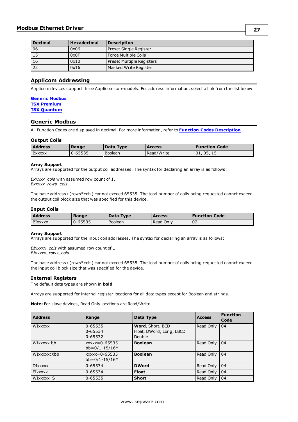| <b>Decimal</b> | <b>Hexadecimal</b>             | <b>Description</b>        |
|----------------|--------------------------------|---------------------------|
| 06             | 0x06<br>Preset Single Register |                           |
| 15             | 0x0F<br>Force Multiple Coils   |                           |
| 16             | 0x10                           | Preset Multiple Registers |
| 22             | 0x16                           | Masked Write Register     |

# <span id="page-26-0"></span>**Applicom Addressing**

Applicom devices support three Applicom sub-models. For address information, select a link from the list below.

### **[Generic](#page-26-1) Modbus TSX [Premium](#page-31-0) TSX [Quantum](#page-28-0)**

# <span id="page-26-1"></span>**Generic Modbus**

All Function Codes are displayed in decimal. For more information, refer to **Function Codes [Description](#page-25-2)**.

## **Output Coils**

| <b>Address</b> | Range   | Data Type | Access     | <b>Function Code</b> |
|----------------|---------|-----------|------------|----------------------|
| <b>B</b> xxxxx | 0-65535 | Boolean   | Read/Write | 05.15<br>101.        |

#### **Array Support**

Arrays are supported for the output coil addresses. The syntax for declaring an array is as follows:

*Bxxxxx\_cols* with assumed row count of 1. *Bxxxxx\_rows\_cols*.

The base address+(rows\*cols) cannot exceed 65535. The total number of coils being requested cannot exceed the output coil block size that was specified for this device.

## **Input Coils**

| <b>Address</b> | Range   | Data Type | <b>Access</b> | <b>Function Code</b> |
|----------------|---------|-----------|---------------|----------------------|
| <b>BIXXXXX</b> | 0-65535 | Boolean   | Read Only     | 02                   |

## **Array Support**

Arrays are supported for the input coil addresses. The syntax for declaring an array is as follows:

*BIxxxxx\_cols* with assumed row count of 1. *BIxxxxx\_rows\_cols*.

The base address+(rows\*cols) cannot exceed 65535. The total number of coils being requested cannot exceed the input coil block size that was specified for the device.

## **Internal Registers**

The default data types are shown in **bold**.

Arrays are supported for internal register locations for all data types except for Boolean and strings.

**Note:** For slave devices, Read Only locations are Read/Write.

| <b>Address</b> | Range                                 | Data Type                                              | <b>Access</b> | <b>Function</b><br>Code |
|----------------|---------------------------------------|--------------------------------------------------------|---------------|-------------------------|
| WIXXXXX        | 0-65535<br>0-65534<br>0-65532         | Word, Short, BCD<br>Float, DWord, Long, LBCD<br>Double | Read Only     | 104                     |
| WIxxxxx.bb     | $xxxx = 0 - 65535$<br>$bb=0/1-15/16*$ | <b>Boolean</b>                                         | Read Only     | 104                     |
| WIxxxxx: Xbb   | $xxxx = 0 - 65535$<br>$bb=0/1-15/16*$ | <b>Boolean</b>                                         | Read Only     | 104                     |
| <b>DIXXXXX</b> | 0-65534                               | <b>DWord</b>                                           | Read Only     | 104                     |
| <b>FIXXXXX</b> | 0-65534                               | <b>Float</b>                                           | Read Only     | 104                     |
| WIXXXXX S      | 0-65535                               | <b>Short</b>                                           | Read Only     | l 04                    |

**27**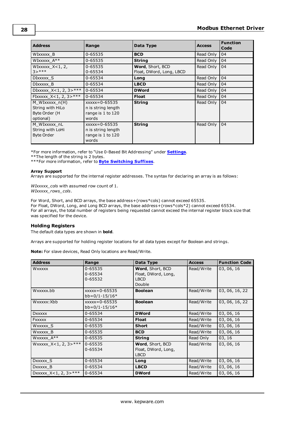| <b>Address</b>                                                   | Range                                                                  | Data Type                                    | <b>Access</b> | <b>Function</b><br>Code |
|------------------------------------------------------------------|------------------------------------------------------------------------|----------------------------------------------|---------------|-------------------------|
| WIXXXXX B                                                        | 0-65535                                                                | <b>BCD</b>                                   | Read Only     | 04                      |
| WIXXXXX $A^{**}$                                                 | 0-65535                                                                | <b>String</b>                                | Read Only     | 04                      |
| WIXXXXX $X < 1, 2$<br>$3 > ***$                                  | 0-65535<br>0-65534                                                     | Word, Short, BCD<br>Float, DWord, Long, LBCD | Read Only     | 04                      |
| DIXXXXX S                                                        | 0-65534                                                                | Long                                         | Read Only     | 04                      |
| DIXXXXX B                                                        | 0-65534                                                                | <b>LBCD</b>                                  | Read Only     | 04                      |
| DIXXXXX_X<1, 2, 3>***                                            | 0-65534                                                                | <b>DWord</b>                                 | Read Only     | 04                      |
| FIXXXXX_X<1, 2, 3>***                                            | 0-65534                                                                | <b>Float</b>                                 | Read Only     | 04                      |
| M WIxxxxx n(H)<br>String with HiLo<br>Byte Order (H<br>optional) | $xxxx = 0 - 65535$<br>n is string length<br>range is 1 to 120<br>words | <b>String</b>                                | Read Only     | 04                      |
| M WIxxxxx nL<br>String with LoHi<br><b>Byte Order</b>            | $xxxx = 0 - 65535$<br>n is string length<br>range is 1 to 120<br>words | <b>String</b>                                | Read Only     | 04                      |

\*For more information, refer to "Use 0-Based Bit Addressing" under **[Settings](#page-9-0)**.

\*\*The length of the string is 2 bytes.

\*\*\*For more information, refer to **Byte [Switching](#page-28-1) Suffixes**.

#### **Array Support**

Arrays are supported for the internal register addresses. The syntax for declaring an array is as follows:

*WIxxxxx\_cols* with assumed row count of 1. *WIxxxxx\_rows\_cols*.

For Word, Short, and BCD arrays, the base address+(rows\*cols) cannot exceed 65535. For Float, DWord, Long, and Long BCD arrays, the base address+(rows\*cols\*2) cannot exceed 65534. For all arrays, the total number of registers being requested cannot exceed the internal register block size that was specified for the device.

#### **Holding Registers**

The default data types are shown in **bold**.

Arrays are supported for holding register locations for all data types except for Boolean and strings.

**Note:** For slave devices, Read Only locations are Read/Write.

| <b>Address</b>             | Range                                 | Data Type                                                        | <b>Access</b> | <b>Function Code</b> |
|----------------------------|---------------------------------------|------------------------------------------------------------------|---------------|----------------------|
| <b>WXXXXX</b>              | 0-65535<br>0-65534<br>0-65532         | Word, Short, BCD<br>Float, DWord, Long,<br><b>LBCD</b><br>Double | Read/Write    | 03, 06, 16           |
| Wxxxxx.bb                  | $xxxx = 0 - 65535$<br>$bb=0/1-15/16*$ | <b>Boolean</b>                                                   | Read/Write    | 03, 06, 16, 22       |
| Wxxxxx: Xbb                | $xxxx = 0 - 65535$<br>$bb=0/1-15/16*$ | <b>Boolean</b>                                                   | Read/Write    | 03, 06, 16, 22       |
| <b>DXXXXX</b>              | 0-65534                               | <b>DWord</b>                                                     | Read/Write    | 03, 06, 16           |
| <b>FXXXXX</b>              | 0-65534                               | <b>Float</b>                                                     | Read/Write    | 03, 06, 16           |
| WXXXXX S                   | 0-65535                               | <b>Short</b>                                                     | Read/Write    | 03, 06, 16           |
| WXXXXX B                   | 0-65535                               | <b>BCD</b>                                                       | Read/Write    | 03, 06, 16           |
| WXXXXX A**                 | 0-65535                               | <b>String</b>                                                    | Read Only     | 03, 16               |
| Wxxxxx_X<1, 2, 3>***       | $0 - 65535$<br>0-65534                | Word, Short, BCD<br>Float, DWord, Long,<br><b>LBCD</b>           | Read/Write    | 03, 06, 16           |
| DXXXXX S                   | 0-65534                               | Long                                                             | Read/Write    | 03, 06, 16           |
| Dxxxxx B                   | 0-65534                               | <b>LBCD</b>                                                      | Read/Write    | 03, 06, 16           |
| DXXXXX $X < 1, 2, 3 > ***$ | 0-65534                               | <b>DWord</b>                                                     | Read/Write    | 03, 06, 16           |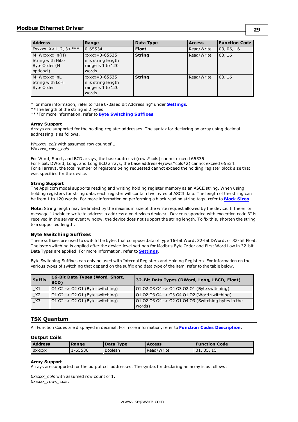| <b>Address</b>                                                  | Range                                                                  | Data Type     | <b>Access</b> | <b>Function Code</b> |
|-----------------------------------------------------------------|------------------------------------------------------------------------|---------------|---------------|----------------------|
| $\textsf{Fxxxx} \ \textsf{X} < 1, 2, 3 >^{\texttt{***}}$        | 0-65534                                                                | <b>Float</b>  | Read/Write    | 03, 06, 16           |
| M_Wxxxxx_n(H)<br>String with HiLo<br>Byte Order (H<br>optional) | $xxxx = 0 - 65535$<br>n is string length<br>range is 1 to 120<br>words | <b>String</b> | Read/Write    | 03, 16               |
| M Wxxxxx nL<br>String with LoHi<br><b>Byte Order</b>            | $xxxx = 0 - 65535$<br>n is string length<br>range is 1 to 120<br>words | <b>String</b> | Read/Write    | 03, 16               |

\*For more information, refer to "Use 0-Based Bit Addressing" under **[Settings](#page-9-0)**.

\*\*The length of the string is 2 bytes.

\*\*\*For more information, refer to **Byte [Switching](#page-28-1) Suffixes**.

#### **Array Support**

Arrays are supported for the holding register addresses. The syntax for declaring an array using decimal addressing is as follows.

*Wxxxxx\_cols* with assumed row count of 1. *Wxxxxx\_rows\_cols*.

For Word, Short, and BCD arrays, the base address+(rows\*cols) cannot exceed 65535. For Float, DWord, Long, and Long BCD arrays, the base address+(rows\*cols\*2) cannot exceed 65534. For all arrays, the total number of registers being requested cannot exceed the holding register block size that was specified for the device.

## **String Support**

The Applicom model supports reading and writing holding register memory as an ASCII string. When using holding registers for string data, each register will contain two bytes of ASCII data. The length of the string can be from 1 to 120 words. For more information on performing a block read on string tags, refer to **[Block](#page-13-0) Sizes**.

**Note:** String length may be limited by the maximum size of the write request allowed by the device. If the error message "Unable to write to address <address> on device<device>: Device responded with exception code 3" is received in the server event window, the device does not support the string length. To fix this, shorten the string to a supported length.

## <span id="page-28-1"></span>**Byte Switching Suffixes**

These suffixes are used to switch the bytes that compose data of type 16-bit Word, 32-bit DWord, or 32-bit Float. The byte switching is applied after the device-level settings for Modbus Byte Order and First Word Low in 32-bit Data Types are applied. For more information, refer to **[Settings](#page-9-0)**.

Byte Switching Suffixes can only be used with Internal Registers and Holding Registers. For information on the various types of switching that depend on the suffix and data type of the item, refer to the table below.

| <b>Suffix</b>   | 16-Bit Data Types (Word, Short,<br>BCD) | 32-Bit Data Types (DWord, Long, LBCD, Float)             |
|-----------------|-----------------------------------------|----------------------------------------------------------|
| $\_X1$          | $0102 - 0201$ (Byte switching)          | 01 02 03 04 -> 04 03 02 01 (Byte switching)              |
| X2              | 01 02 -> 02 01 (Byte switching)         | 01 02 03 04 -> 03 04 01 02 (Word switching)              |
| $\overline{X3}$ | 01 02 -> 02 01 (Byte switching)         | $101020304 \rightarrow 02010403$ (Switching bytes in the |
|                 |                                         | words)                                                   |

# <span id="page-28-0"></span>**TSX Quantum**

All Function Codes are displayed in decimal. For more information, refer to **Function Codes [Description](#page-25-2)**.

## **Output Coils**

| <b>Address</b> | Range   | Data Type | <b>Access</b> | <b>Function Code</b> |
|----------------|---------|-----------|---------------|----------------------|
| <b>OXXXXX</b>  | .-65536 | Boolean   | Read/Write    | '01.<br>05, 15       |

#### **Array Support**

Arrays are supported for the output coil addresses. The syntax for declaring an array is as follows:

*0xxxxx\_cols* with assumed row count of 1. *0xxxxx\_rows\_cols*.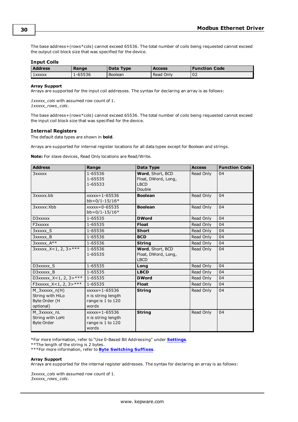The base address+(rows\*cols) cannot exceed 65536. The total number of coils being requested cannot exceed the output coil block size that was specified for the device.

# **Input Coils**

| <b>Address</b> | Range   | Data Type | <b>Access</b> | Function Code |
|----------------|---------|-----------|---------------|---------------|
| 1 xxxxx        | .-65536 | Boolean   | Read Only     | 02            |

#### **Array Support**

Arrays are supported for the input coil addresses. The syntax for declaring an array is as follows:

*1xxxxx\_cols* with assumed row count of 1. *1xxxxx\_rows\_cols*.

The base address+(rows\*cols) cannot exceed 65536. The total number of coils being requested cannot exceed the input coil block size that was specified for the device.

## **Internal Registers**

The default data types are shown in **bold**.

Arrays are supported for internal register locations for all data types except for Boolean and strings.

**Note:** For slave devices, Read Only locations are Read/Write.

| <b>Address</b>                                                   | Range                                                                  | Data Type                                                        | <b>Access</b> | <b>Function Code</b> |
|------------------------------------------------------------------|------------------------------------------------------------------------|------------------------------------------------------------------|---------------|----------------------|
| 3xxxxx                                                           | 1-65536<br>1-65535<br>1-65533                                          | Word, Short, BCD<br>Float, DWord, Long,<br><b>LBCD</b><br>Double | Read Only     | 04                   |
| 3xxxxx.bb                                                        | $xxxxx = 1 - 65536$<br>$bb=0/1-15/16*$                                 | <b>Boolean</b>                                                   | Read Only     | 04                   |
| 3xxxxx: Xbb                                                      | $xxxx = 0 - 65535$<br>$bb=0/1-15/16*$                                  | <b>Boolean</b>                                                   | Read Only     | 04                   |
| D3xxxxx                                                          | 1-65535                                                                | <b>DWord</b>                                                     | Read Only     | 04                   |
| F3xxxxx                                                          | 1-65535                                                                | <b>Float</b>                                                     | Read Only     | 04                   |
| 3xxxxx S                                                         | 1-65536                                                                | <b>Short</b>                                                     | Read Only     | 04                   |
| 3xxxxx B                                                         | 1-65536                                                                | <b>BCD</b>                                                       | Read Only     | 04                   |
| $3xxxx \mathbf{A}^{**}$                                          | 1-65536                                                                | <b>String</b>                                                    | Read Only     | 04                   |
| $3xxxx_1x<1, 2, 3>***$                                           | 1-65536<br>1-65535                                                     | Word, Short, BCD<br>Float, DWord, Long,<br><b>LBCD</b>           | Read Only     | 04                   |
| D3xxxxx S                                                        | 1-65535                                                                | Long                                                             | Read Only     | 04                   |
| D3xxxxx B                                                        | 1-65535                                                                | <b>LBCD</b>                                                      | Read Only     | 04                   |
| D3xxxxx_X<1, 2, 3>***                                            | 1-65535                                                                | <b>DWord</b>                                                     | Read Only     | 04                   |
| F3xxxxx X<1, 2, 3>***                                            | 1-65535                                                                | <b>Float</b>                                                     | Read Only     | 04                   |
| $M_3xxxx_1(H)$<br>String with HiLo<br>Byte Order (H<br>optional) | $xxxx = 1 - 65536$<br>n is string length<br>range is 1 to 120<br>words | <b>String</b>                                                    | Read Only     | 04                   |
| M 3xxxxx nL<br>String with LoHi<br><b>Byte Order</b>             | $xxxxx=1-65536$<br>n is string length<br>range is 1 to 120<br>words    | <b>String</b>                                                    | Read Only     | 04                   |

\*For more information, refer to "Use 0-Based Bit Addressing" under **[Settings](#page-9-0)**.

\*\*The length of the string is 2 bytes.

#### **Array Support**

Arrays are supported for the internal register addresses. The syntax for declaring an array is as follows:

*3xxxxx\_cols* with assumed row count of 1. *3xxxxx\_rows\_cols*.

<sup>\*\*\*</sup>For more information, refer to **Byte [Switching](#page-31-1) Suffixes**.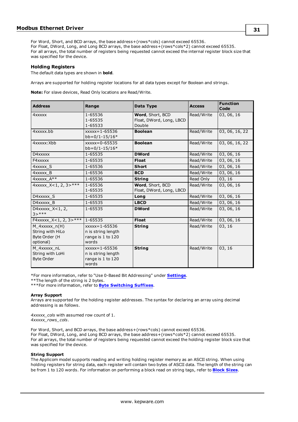For Word, Short, and BCD arrays, the base address+(rows\*cols) cannot exceed 65536. For Float, DWord, Long, and Long BCD arrays, the base address+(rows\*cols\*2) cannot exceed 65535. For all arrays, the total number of registers being requested cannot exceed the internal register block size that was specified for the device.

# **Holding Registers**

The default data types are shown in **bold**.

Arrays are supported for holding register locations for all data types except for Boolean and strings.

**Note:** For slave devices, Read Only locations are Read/Write.

| <b>Address</b>                                                      | Range                                                                   | Data Type                                              | <b>Access</b> | <b>Function</b><br>Code |
|---------------------------------------------------------------------|-------------------------------------------------------------------------|--------------------------------------------------------|---------------|-------------------------|
| 4xxxxx                                                              | 1-65536<br>1-65535<br>1-65533                                           | Word, Short, BCD<br>Float, DWord, Long, LBCD<br>Double | Read/Write    | 03, 06, 16              |
| 4xxxxx.bb                                                           | $xxxxx = 1 - 65536$<br>$bb=0/1-15/16*$                                  | <b>Boolean</b>                                         | Read/Write    | 03, 06, 16, 22          |
| 4xxxxx: Xbb                                                         | $xxxx = 0 - 65535$<br>$bb=0/1-15/16*$                                   | <b>Boolean</b>                                         | Read/Write    | 03, 06, 16, 22          |
| D4xxxxx                                                             | 1-65535                                                                 | <b>DWord</b>                                           | Read/Write    | 03, 06, 16              |
| F4xxxxx                                                             | 1-65535                                                                 | <b>Float</b>                                           | Read/Write    | 03, 06, 16              |
| 4xxxxx S                                                            | 1-65536                                                                 | <b>Short</b>                                           | Read/Write    | 03, 06, 16              |
| 4xxxxx B                                                            | 1-65536                                                                 | <b>BCD</b>                                             | Read/Write    | 03, 06, 16              |
| $4x$ xxxx $A^{**}$                                                  | 1-65536                                                                 | <b>String</b>                                          | Read Only     | 03, 16                  |
| 4xxxxx_X<1, 2, 3>***                                                | 1-65536<br>1-65535                                                      | Word, Short, BCD<br>Float, DWord, Long, LBCD           | Read/Write    | 03, 06, 16              |
| D4xxxxx S                                                           | 1-65535                                                                 | Long                                                   | Read/Write    | 03, 06, 16              |
| D4xxxxx B                                                           | 1-65535                                                                 | <b>LBCD</b>                                            | Read/Write    | 03, 06, 16              |
| D4xxxxx_X<1, 2,<br>$3 > ***$                                        | 1-65535                                                                 | <b>DWord</b>                                           | Read/Write    | 03, 06, 16              |
| F4xxxxx_X<1, 2, 3>***                                               | 1-65535                                                                 | <b>Float</b>                                           | Read/Write    | 03, 06, 16              |
| $M$ 4xxxxx $n(H)$<br>String with HiLo<br>Byte Order (H<br>optional) | $xxxxx = 1 - 65536$<br>n is string length<br>range is 1 to 120<br>words | <b>String</b>                                          | Read/Write    | 03, 16                  |
| M 4xxxxx nL<br>String with LoHi<br><b>Byte Order</b>                | $xxxxx = 1 - 65536$<br>n is string length<br>range is 1 to 120<br>words | <b>String</b>                                          | Read/Write    | 03, 16                  |

\*For more information, refer to "Use 0-Based Bit Addressing" under **[Settings](#page-9-0)**.

\*\*The length of the string is 2 bytes.

\*\*\*For more information, refer to **Byte [Switching](#page-31-1) Suffixes**.

## **Array Support**

Arrays are supported for the holding register addresses. The syntax for declaring an array using decimal addressing is as follows.

*4xxxxx\_cols* with assumed row count of 1. *4xxxxx\_rows\_cols*.

For Word, Short, and BCD arrays, the base address+(rows\*cols) cannot exceed 65536. For Float, DWord, Long, and Long BCD arrays, the base address+(rows\*cols\*2) cannot exceed 65535. For all arrays, the total number of registers being requested cannot exceed the holding register block size that was specified for the device.

## **String Support**

The Applicom model supports reading and writing holding register memory as an ASCII string. When using holding registers for string data, each register will contain two bytes of ASCII data. The length of the string can be from 1 to 120 words. For information on performing a block read on string tags, refer to **[Block](#page-13-0) Sizes**.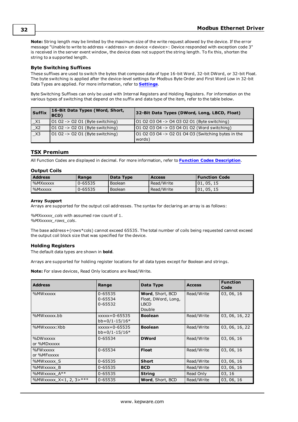**Note:** String length may be limited by the maximum size of the write request allowed by the device. If the error message "Unable to write to address <address> on device <device>: Device responded with exception code 3" is received in the server event window, the device does not support the string length. To fix this, shorten the string to a supported length.

# <span id="page-31-1"></span>**Byte Switching Suffixes**

These suffixes are used to switch the bytes that compose data of type 16-bit Word, 32-bit DWord, or 32-bit Float. The byte switching is applied after the device-level settings for Modbus Byte Order and First Word Low in 32-bit Data Types are applied. For more information, refer to **[Settings](#page-9-0)**.

Byte Switching Suffixes can only be used with Internal Registers and Holding Registers. For information on the various types of switching that depend on the suffix and data type of the item, refer to the table below.

| Suffix | 16-Bit Data Types (Word, Short,<br>BCD) | 32-Bit Data Types (DWord, Long, LBCD, Float)                 |
|--------|-----------------------------------------|--------------------------------------------------------------|
| $\_X1$ | 01 02 -> 02 01 (Byte switching)         | 01 02 03 04 -> 04 03 02 01 (Byte switching)                  |
| $\_X2$ | $0102 -> 0201$ (Byte switching)         | 01 02 03 04 -> 03 04 01 02 (Word switching)                  |
| X3     | 01 02 -> 02 01 (Byte switching)         | 01 02 03 04 -> 02 01 04 03 (Switching bytes in the<br>words) |

# <span id="page-31-0"></span>**TSX Premium**

All Function Codes are displayed in decimal. For more information, refer to **Function Codes [Description](#page-25-2)**.

## **Output Coils**

| <b>Address</b> | Range       | Data Type | <b>Access</b> | <b>Function Code</b> |
|----------------|-------------|-----------|---------------|----------------------|
| %MXxxxxx       | $0 - 65535$ | Boolean   | Read/Write    | 01.05.15             |
| %Mxxxxx        | 0-65535     | Boolean   | Read/Write    | 01.05.15             |

#### **Array Support**

Arrays are supported for the output coil addresses. The syntax for declaring an array is as follows:

*%MXxxxxx\_cols* with assumed row count of 1. *%MXxxxxx\_rows\_cols*.

The base address+(rows\*cols) cannot exceed 65535. The total number of coils being requested cannot exceed the output coil block size that was specified for the device.

# **Holding Registers**

The default data types are shown in **bold**.

Arrays are supported for holding register locations for all data types except for Boolean and strings.

**Note:** For slave devices, Read Only locations are Read/Write.

| <b>Address</b>               | Range                                 | Data Type                                                        | <b>Access</b> | <b>Function</b><br>Code |
|------------------------------|---------------------------------------|------------------------------------------------------------------|---------------|-------------------------|
| %MWxxxxx                     | 0-65535<br>0-65534<br>0-65532         | Word, Short, BCD<br>Float, DWord, Long,<br><b>LBCD</b><br>Double | Read/Write    | 03, 06, 16              |
| %MWxxxxx.bb                  | $xxxx = 0 - 65535$<br>$bb=0/1-15/16*$ | <b>Boolean</b>                                                   | Read/Write    | 03, 06, 16, 22          |
| %MWxxxxx:Xbb                 | $xxxx = 0 - 65535$<br>$bb=0/1-15/16*$ | <b>Boolean</b>                                                   | Read/Write    | 03, 06, 16, 22          |
| %DWxxxxx<br>or %MDxxxxx      | 0-65534                               | <b>DWord</b>                                                     | Read/Write    | 03, 06, 16              |
| %FWxxxxx<br>or %MFxxxxx      | 0-65534                               | <b>Float</b>                                                     | Read/Write    | 03, 06, 16              |
| %MWxxxxx S                   | 0-65535                               | <b>Short</b>                                                     | Read/Write    | 03, 06, 16              |
| %MWxxxxx B                   | 0-65535                               | <b>BCD</b>                                                       | Read/Write    | 03, 06, 16              |
| %MWXXXXX $A**$               | 0-65535                               | <b>String</b>                                                    | Read Only     | 03, 16                  |
| %MWxxxxx $X < 1, 2, 3 > ***$ | 0-65535                               | Word, Short, BCD                                                 | Read/Write    | 03, 06, 16              |

**32**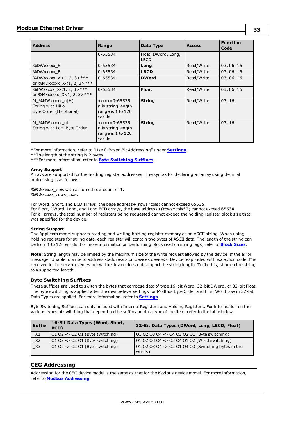| <b>Address</b>                                                 | Range                                                                  | Data Type                          | <b>Access</b> | <b>Function</b><br>Code |
|----------------------------------------------------------------|------------------------------------------------------------------------|------------------------------------|---------------|-------------------------|
|                                                                | 0-65534                                                                | Float, DWord, Long,<br><b>LBCD</b> |               |                         |
| %DWxxxxx S                                                     | 0-65534                                                                | Long                               | Read/Write    | 03, 06, 16              |
| %DWxxxxx B                                                     | 0-65534                                                                | <b>LBCD</b>                        | Read/Write    | 03, 06, 16              |
| %DWxxxxx_X<1, 2, 3>***<br>or %MDxxxxx_X<1, 2, 3>***            | 0-65534                                                                | <b>DWord</b>                       | Read/Write    | 03, 06, 16              |
| %FWXXXXX $X < 1, 2, 3 > ***$<br>or %MFxxxxx_X<1, 2, 3>***      | 0-65534                                                                | <b>Float</b>                       | Read/Write    | 03, 06, 16              |
| M %MWxxxxx n(H)<br>String with HiLo<br>Byte Order (H optional) | $xxxx = 0 - 65535$<br>n is string length<br>range is 1 to 120<br>words | <b>String</b>                      | Read/Write    | 03, 16                  |
| M %MWxxxxx nL<br>String with LoHi Byte Order                   | $xxxx = 0 - 65535$<br>n is string length<br>range is 1 to 120<br>words | <b>String</b>                      | Read/Write    | 03, 16                  |

\*For more information, refer to "Use 0-Based Bit Addressing" under **[Settings](#page-9-0)**.

\*\*The length of the string is 2 bytes.

\*\*\*For more information, refer to **Byte [Switching](#page-32-1) Suffixes**.

#### **Array Support**

Arrays are supported for the holding register addresses. The syntax for declaring an array using decimal addressing is as follows:

*%MWxxxxx\_cols* with assumed row count of 1. *%MWxxxxx\_rows\_cols*.

For Word, Short, and BCD arrays, the base address+(rows\*cols) cannot exceed 65535. For Float, DWord, Long, and Long BCD arrays, the base address+(rows\*cols\*2) cannot exceed 65534. For all arrays, the total number of registers being requested cannot exceed the holding register block size that was specified for the device.

## **String Support**

The Applicom model supports reading and writing holding register memory as an ASCII string. When using holding registers for string data, each register will contain two bytes of ASCII data. The length of the string can be from 1 to 120 words. For more information on performing block read on string tags, refer to **[Block](#page-13-0) Sizes**.

**Note:** String length may be limited by the maximum size of the write request allowed by the device. If the error message "Unable to write to address <address> on device<device>: Device responded with exception code 3" is received in the server event window, the device does not support the string length. To fix this, shorten the string to a supported length.

# <span id="page-32-1"></span>**Byte Switching Suffixes**

These suffixes are used to switch the bytes that compose data of type 16-bit Word, 32-bit DWord, or 32-bit Float. The byte switching is applied after the device-level settings for Modbus Byte Order and First Word Low in 32-bit Data Types are applied. For more information, refer to **[Settings](#page-9-0)**.

Byte Switching Suffixes can only be used with Internal Registers and Holding Registers. For information on the various types of switching that depend on the suffix and data type of the item, refer to the table below.

| <b>Suffix</b> | 16-Bit Data Types (Word, Short,<br>BCD) | 32-Bit Data Types (DWord, Long, LBCD, Float)                       |
|---------------|-----------------------------------------|--------------------------------------------------------------------|
| $\times 1$    | $0102 - 0201$ (Byte switching)          | 01 02 03 04 -> 04 03 02 01 (Byte switching)                        |
| $\_x2$        | 01 02 -> 02 01 (Byte switching)         | 01 02 03 04 -> 03 04 01 02 (Word switching)                        |
| $\_X3$        | 01 02 -> 02 01 (Byte switching)         | $101020304 \rightarrow 02010403$ (Switching bytes in the<br>words) |

# <span id="page-32-0"></span>**CEG Addressing**

Addressing for the CEG device model is the same as that for the Modbus device model. For more information, refer to **Modbus [Addressing](#page-34-0)**.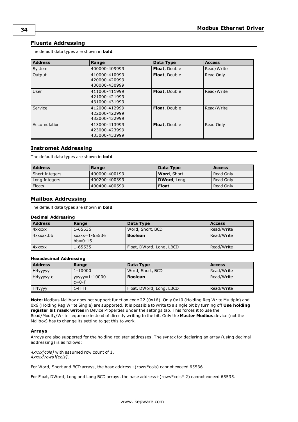# <span id="page-33-0"></span>**Fluenta Addressing**

The default data types are shown in **bold**.

| <b>Address</b> | Range                                           | Data Type     | <b>Access</b> |
|----------------|-------------------------------------------------|---------------|---------------|
| System         | 400000-409999                                   | Float, Double | Read/Write    |
| Output         | 410000-410999<br>420000-420999<br>430000-430999 | Float, Double | Read Only     |
| User           | 411000-411999<br>421000-421999<br>431000-431999 | Float, Double | Read/Write    |
| Service        | 412000-412999<br>422000-422999<br>432000-432999 | Float, Double | Read/Write    |
| Accumulation   | 413000-413999<br>423000-423999<br>433000-433999 | Float, Double | Read Only     |

# <span id="page-33-1"></span>**Instromet Addressing**

The default data types are shown in **bold**.

| <b>Address</b> | Range          | Data Type           | <b>Access</b> |
|----------------|----------------|---------------------|---------------|
| Short Integers | 1400000-400199 | <b>Word</b> , Short | Read Only     |
| Long Integers  | 400200-400399  | <b>DWord, Long</b>  | Read Only     |
| Floats         | 400400-400599  | <b>Float</b>        | Read Only     |

# <span id="page-33-2"></span>**Mailbox Addressing**

The default data types are shown in **bold**.

# **Decimal Addressing**

| <b>Address</b> | Range                            | Data Type                | <b>Access</b> |
|----------------|----------------------------------|--------------------------|---------------|
| l 4xxxxx       | 1-65536                          | Word, Short, BCD         | Read/Write    |
| 4xxxxx.bb      | $xxxxx=1-65536$<br>$bb = 0 - 15$ | <b>Boolean</b>           | Read/Write    |
| 4xxxxx         | 1-65535                          | Float, DWord, Long, LBCD | Read/Write    |

## **Hexadecimal Addressing**

| <b>Address</b> | Range                            | Data Type                | <b>Access</b> |
|----------------|----------------------------------|--------------------------|---------------|
| H4yyyyy        | $1 - 10000$                      | Word, Short, BCD         | Read/Write    |
| H4yyyyy.c      | $1$ yyyyy = 1-10000<br>$c = 0-F$ | <b>Boolean</b>           | Read/Write    |
| H4yyyy         | $1$ -FFFF                        | Float, DWord, Long, LBCD | Read/Write    |

**Note:** Modbus Mailbox does not support function code 22 (0x16). Only 0x10 (Holding Reg Write Multiple) and 0x6 (Holding Reg Write Single) are supported. It is possible to write to a single bit by turning off **Use holding register bit mask writes** in Device Properties under the settings tab. This forces it to use the Read/Modify/Write sequence instead of directly writing to the bit. Only the **Master Modbus** device (not the Mailbox) has to change its setting to get this to work.

## **Arrays**

Arrays are also supported for the holding register addresses. The syntax for declaring an array (using decimal addressing) is as follows:

*4xxxx[cols]* with assumed row count of 1. *4xxxx[rows][cols]*.

For Word, Short and BCD arrays, the base address+(rows\*cols) cannot exceed 65536.

For Float, DWord, Long and Long BCD arrays, the base address+(rows\*cols\* 2) cannot exceed 65535.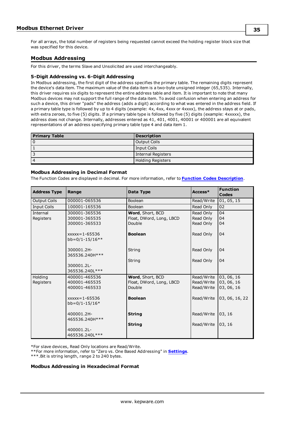For all arrays, the total number of registers being requested cannot exceed the holding register block size that was specified for this device.

# <span id="page-34-0"></span>**Modbus Addressing**

For this driver, the terms Slave and Unsolicited are used interchangeably.

# **5-Digit Addressing vs. 6-Digit Addressing**

In Modbus addressing, the first digit of the address specifies the primary table. The remaining digits represent the device's data item. The maximum value of the data item is a two-byte unsigned integer (65,535). Internally, this driver requires six digits to represent the entire address table and item. It is important to note that many Modbus devices may not support the full range of the data item. To avoid confusion when entering an address for such a device, this driver "pads" the address (adds a digit) according to what was entered in the address field. If a primary table type is followed by up to 4 digits (example: 4x, 4xx, 4xxx or 4xxxx), the address stays at or pads, with extra zeroes, to five (5) digits. If a primary table type is followed by five (5) digits (example: 4xxxxx), the address does not change. Internally, addresses entered as 41, 401, 4001, 40001 or 400001 are all equivalent representations of an address specifying primary table type 4 and data item 1.

| <b>Primary Table</b> | <b>Description</b> |
|----------------------|--------------------|
|                      | Output Coils       |
|                      | Input Coils        |
|                      | Internal Registers |
| $\sqrt{ }$           | Holding Registers  |

# **Modbus Addressing in Decimal Format**

The Function Codes are displayed in decimal. For more information, refer to **Function Codes [Description](#page-25-2)**.

| <b>Address Type</b> | Range                                  | Data Type                | Access*    | <b>Function</b><br>Codes |
|---------------------|----------------------------------------|--------------------------|------------|--------------------------|
| <b>Output Coils</b> | 000001-065536                          | Boolean                  | Read/Write | 01, 05, 15               |
| <b>Input Coils</b>  | 100001-165536                          | <b>Boolean</b>           | Read Only  | 02                       |
| Internal            | 300001-365536                          | Word, Short, BCD         | Read Only  | 04                       |
| Registers           | 300001-365535                          | Float, DWord, Long, LBCD | Read Only  | 04                       |
|                     | 300001-365533                          | Double                   | Read Only  | 04                       |
|                     | $xxxx = 1 - 65536$<br>$bb=0/1-15/16**$ | <b>Boolean</b>           | Read Only  | 04                       |
|                     | 300001.2H-                             | String                   | Read Only  | 04                       |
|                     | 365536.240H***                         |                          |            |                          |
|                     |                                        | String                   | Read Only  | 04                       |
|                     | 300001.2L-                             |                          |            |                          |
|                     | 365536.240L***                         |                          |            |                          |
| Holding             | 400001-465536                          | Word, Short, BCD         | Read/Write | 03, 06, 16               |
| Registers           | 400001-465535                          | Float, DWord, Long, LBCD | Read/Write | 03, 06, 16               |
|                     | 400001-465533                          | Double                   | Read/Write | 03, 06, 16               |
|                     | $XXX = 1 - 65536$<br>$bb=0/1-15/16*$   | <b>Boolean</b>           | Read/Write | 03, 06, 16, 22           |
|                     | 400001.2H-                             | <b>String</b>            | Read/Write | 03, 16                   |
|                     | 465536.240H***                         |                          |            |                          |
|                     |                                        | <b>String</b>            | Read/Write | 03, 16                   |
|                     | 400001.2L-<br>465536.240L***           |                          |            |                          |

\*For slave devices, Read Only locations are Read/Write.

\*\*For more information, refer to "Zero vs. One Based Addressing" in **[Settings](#page-9-0)**.

\*\*\*.Bit is string length, range 2 to 240 bytes.

## **Modbus Addressing in Hexadecimal Format**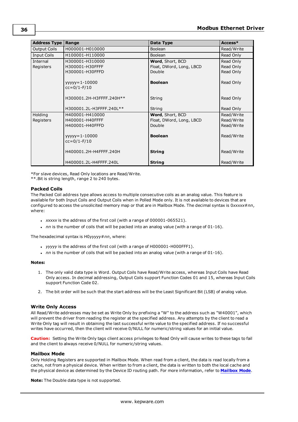| Address Type        | Range                                | Data Type                | Access*    |
|---------------------|--------------------------------------|--------------------------|------------|
| <b>Output Coils</b> | H000001-H010000                      | Boolean                  | Read/Write |
| <b>Input Coils</b>  | H100001-H110000                      | <b>Boolean</b>           | Read Only  |
| Internal            | H300001-H310000                      | Word, Short, BCD         | Read Only  |
| Registers           | H300001-H30FFFF                      | Float, DWord, Long, LBCD | Read Only  |
|                     | H300001-H30FFFD                      | Double                   | Read Only  |
|                     | $yyyyy=1-10000$<br>$cc = 0/1 - F/10$ | <b>Boolean</b>           | Read Only  |
|                     | H300001.2H-H3FFFF.240H**             | String                   | Read Only  |
|                     | H300001.2L-H3FFFF.240L**             | String                   | Read Only  |
| Holding             | H400001-H410000                      | Word, Short, BCD         | Read/Write |
| Registers           | H400001-H40FFFF                      | Float, DWord, Long, LBCD | Read/Write |
|                     | H400001-H40FFFD                      | Double                   | Read/Write |
|                     | $yyyyy=1-10000$<br>$cc = 0/1 - F/10$ | <b>Boolean</b>           | Read/Write |
|                     | H400001.2H-H4FFFF.240H               | <b>String</b>            | Read/Write |
|                     | H400001.2L-H4FFFF.240L               | <b>String</b>            | Read/Write |

\*For slave devices, Read Only locations are Read/Write.

\*\*.Bit is string length, range 2 to 240 bytes.

# **Packed Coils**

The Packed Coil address type allows access to multiple consecutive coils as an analog value. This feature is available for both Input Coils and Output Coils when in Polled Mode only. It is not available to devices that are configured to access the unsolicited memory map or that are in Mailbox Mode. The decimal syntax is 0xxxxx#nn, where:

- . *xxxxx* is the address of the first coil (with a range of 000001-065521).
- $\cdot$  *nn* is the number of coils that will be packed into an analog value (with a range of 01-16).

The hexadecimal syntax is H0*yyyyy*#*nn*, where:

- yyyyy is the address of the first coil (with a range of H000001-H000FFF1).
- $\cdot$  *nn* is the number of coils that will be packed into an analog value (with a range of 01-16).

## **Notes:**

- 1. The only valid data type is Word. Output Coils have Read/Write access, whereas Input Coils have Read Only access. In decimal addressing, Output Coils support Function Codes 01 and 15, whereas Input Coils support Function Code 02.
- 2. The bit order will be such that the start address will be the Least Significant Bit (LSB) of analog value.

# **Write Only Access**

All Read/Write addresses may be set as Write Only by prefixing a "W" to the address such as "W40001", which will prevent the driver from reading the register at the specified address. Any attempts by the client to read a Write Only tag will result in obtaining the last successful write value to the specified address. If no successful writes have occurred, then the client will receive 0/NULL for numeric/string values for an initial value.

**Caution:** Setting the Write Only tags client access privileges to Read Only will cause writes to these tags to fail and the client to always receive 0/NULL for numeric/string values.

## **Mailbox Mode**

Only Holding Registers are supported in Mailbox Mode. When read from a client, the data is read locally from a cache, not from a physical device. When written to from a client, the data is written to both the local cache and the physical device as determined by the Device ID routing path. For more information, refer to **[Mailbox](#page-6-6) Mode**.

**Note:** The Double data type is not supported.

**36**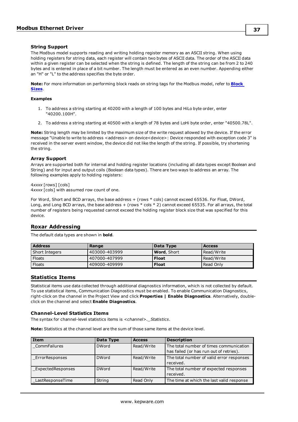# **String Support**

The Modbus model supports reading and writing holding register memory as an ASCII string. When using holding registers for string data, each register will contain two bytes of ASCII data. The order of the ASCII data within a given register can be selected when the string is defined. The length of the string can be from 2 to 240 bytes and is entered in place of a bit number. The length must be entered as an even number. Appending either an "H" or "L" to the address specifies the byte order.

**Note:** For more information on performing block reads on string tags for the Modbus model, refer to **[Block](#page-13-0) [Sizes](#page-13-0)**.

#### **Examples**

- 1. To address a string starting at 40200 with a length of 100 bytes and HiLo byte order, enter "40200.100H".
- 2. To address a string starting at 40500 with a length of 78 bytes and LoHi byte order, enter "40500.78L".

**Note:** String length may be limited by the maximum size of the write request allowed by the device. If the error message "Unable to write to address <address> on device<device>: Device responded with exception code 3" is received in the server event window, the device did not like the length of the string. If possible, try shortening the string.

## **Array Support**

Arrays are supported both for internal and holding register locations (including all data types except Boolean and String) and for input and output coils (Boolean data types). There are two ways to address an array. The following examples apply to holding registers:

4*xxxx* [rows] [cols] 4*xxxx* [cols] with assumed row count of one.

For Word, Short and BCD arrays, the base address + (rows \* cols) cannot exceed 65536. For Float, DWord, Long, and Long BCD arrays, the base address + (rows \* cols \* 2) cannot exceed 65535. For all arrays, the total number of registers being requested cannot exceed the holding register block size that was specified for this device.

# <span id="page-36-0"></span>**Roxar Addressing**

The default data types are shown in **bold**.

| <b>Address</b> | Range         | Data Type           | <b>Access</b> |
|----------------|---------------|---------------------|---------------|
| Short Integers | 403000-403999 | <b>Word</b> , Short | Read/Write    |
| Floats         | 407000-407999 | <b>Float</b>        | Read/Write    |
| <b>Floats</b>  | 409000-409999 | <b>Float</b>        | Read Only     |

# <span id="page-36-1"></span>**Statistics Items**

Statistical items use data collected through additional diagnostics information, which is not collected by default. To use statistical items, Communication Diagnostics must be enabled. To enable Communication Diagnostics, right-click on the channel in the Project View and click **Properties | Enable Diagnostics**. Alternatively, doubleclick on the channel and select **Enable Diagnostics**.

#### **Channel-Level Statistics Items**

The syntax for channel-level statistics items is *<channel>.\_Statistics*.

**Note:** Statistics at the channel level are the sum of those same items at the device level.

| l Item            | Data Type    | <b>Access</b> | <b>Description</b>                                                                 |
|-------------------|--------------|---------------|------------------------------------------------------------------------------------|
| CommFailures      | <b>DWord</b> | Read/Write    | The total number of times communication<br>has failed (or has run out of retries). |
| ErrorResponses    | <b>DWord</b> | Read/Write    | The total number of valid error responses<br>received.                             |
| ExpectedResponses | <b>DWord</b> | Read/Write    | The total number of expected responses<br>received.                                |
| LastResponseTime  | String       | Read Only     | The time at which the last valid response                                          |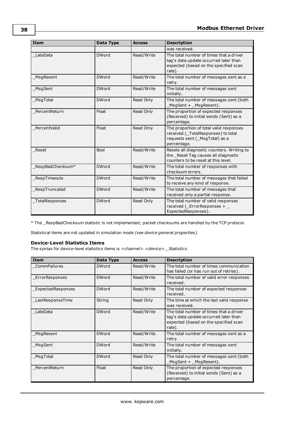| <b>Item</b>      | Data Type    | <b>Access</b> | <b>Description</b>                                                                                                                  |
|------------------|--------------|---------------|-------------------------------------------------------------------------------------------------------------------------------------|
|                  |              |               | was received.                                                                                                                       |
| LateData         | <b>DWord</b> | Read/Write    | The total number of times that a driver<br>tag's data update occurred later than<br>expected (based on the specified scan<br>rate). |
| MsgResent        | <b>DWord</b> | Read/Write    | The total number of messages sent as a<br>retry.                                                                                    |
| MsgSent          | <b>DWord</b> | Read/Write    | The total number of messages sent<br>initially.                                                                                     |
| MsgTotal         | <b>DWord</b> | Read Only     | The total number of messages sent (both<br>MsgSent + _MsgResent).                                                                   |
| PercentReturn    | Float        | Read Only     | The proportion of expected responses<br>(Received) to initial sends (Sent) as a<br>percentage.                                      |
| PercentValid     | Float        | Read Only     | The proportion of total valid responses<br>received (_TotalResponses) to total<br>requests sent (_MsgTotal) as a<br>percentage.     |
| Reset            | <b>Bool</b>  | Read/Write    | Resets all diagnostic counters. Writing to<br>the Reset Tag causes all diagnostic<br>counters to be reset at this level.            |
| RespBadChecksum* | <b>DWord</b> | Read/Write    | The total number of responses with<br>checksum errors.                                                                              |
| RespTimeouts     | <b>DWord</b> | Read/Write    | The total number of messages that failed<br>to receive any kind of response.                                                        |
| RespTruncated    | <b>DWord</b> | Read/Write    | The total number of messages that<br>received only a partial response.                                                              |
| TotalResponses   | <b>DWord</b> | Read Only     | The total number of valid responses<br>received (_ErrorResponses + _<br>ExpectedResponses).                                         |

\* The \_RespBadChecksum statistic is not implemented; packet checksums are handled by the TCP protocol.

Statistical items are not updated in simulation mode *(see device general properties)*.

# **Device-Level Statistics Items**

The syntax for device-level statistics items is *<channel>.<device>.\_Statistics*.

| <b>Item</b>              | Data Type    | <b>Access</b> | <b>Description</b>                                                                                                                  |
|--------------------------|--------------|---------------|-------------------------------------------------------------------------------------------------------------------------------------|
| CommFailures             | <b>DWord</b> | Read/Write    | The total number of times communication<br>has failed (or has run out of retries).                                                  |
| ErrorResponses           | <b>DWord</b> | Read/Write    | The total number of valid error responses<br>received.                                                                              |
| <b>ExpectedResponses</b> | <b>DWord</b> | Read/Write    | The total number of expected responses<br>received.                                                                                 |
| LastResponseTime         | String       | Read Only     | The time at which the last valid response<br>was received.                                                                          |
| LateData                 | <b>DWord</b> | Read/Write    | The total number of times that a driver<br>tag's data update occurred later than<br>expected (based on the specified scan<br>rate). |
| MsgResent                | <b>DWord</b> | Read/Write    | The total number of messages sent as a<br>retry.                                                                                    |
| MsgSent                  | <b>DWord</b> | Read/Write    | The total number of messages sent<br>initially.                                                                                     |
| MsgTotal                 | <b>DWord</b> | Read Only     | The total number of messages sent (both<br>MsgSent + MsgResent).                                                                    |
| PercentReturn            | Float        | Read Only     | The proportion of expected responses<br>(Received) to initial sends (Sent) as a<br>percentage.                                      |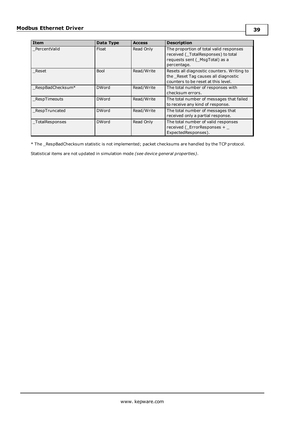| <b>Item</b>      | Data Type    | <b>Access</b> | <b>Description</b>                                                                                                              |
|------------------|--------------|---------------|---------------------------------------------------------------------------------------------------------------------------------|
| PercentValid     | Float        | Read Only     | The proportion of total valid responses<br>received (_TotalResponses) to total<br>requests sent (_MsgTotal) as a<br>percentage. |
| Reset            | <b>Bool</b>  | Read/Write    | Resets all diagnostic counters. Writing to<br>the _Reset Tag causes all diagnostic<br>counters to be reset at this level.       |
| RespBadChecksum* | <b>DWord</b> | Read/Write    | The total number of responses with<br>checksum errors.                                                                          |
| RespTimeouts     | <b>DWord</b> | Read/Write    | The total number of messages that failed<br>to receive any kind of response.                                                    |
| RespTruncated    | <b>DWord</b> | Read/Write    | The total number of messages that<br>received only a partial response.                                                          |
| TotalResponses   | <b>DWord</b> | Read Only     | The total number of valid responses<br>received (ErrorResponses +<br>ExpectedResponses).                                        |

\* The \_RespBadChecksum statistic is not implemented; packet checksums are handled by the TCP protocol.

Statistical items are not updated in simulation mode *(see device general properties)*.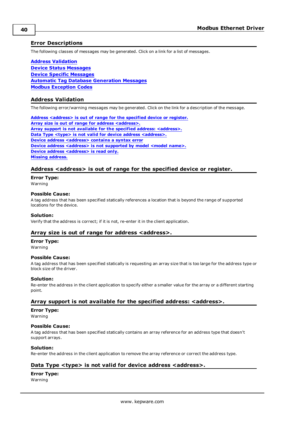# <span id="page-39-0"></span>**Error Descriptions**

The following classes of messages may be generated. Click on a link for a list of messages.

**Address [Validation](#page-39-1) Device Status [Messages](#page-40-4) Device Specific [Messages](#page-43-3) Automatic Tag Database [Generation](#page-46-0) Messages Modbus [Exception](#page-48-0) Codes**

# <span id="page-39-1"></span>**Address Validation**

The following error/warning messages may be generated. Click on the link for a description of the message.

**Address [<address>](#page-39-2) is out of range for the specified device or register. Array size is out of range for address [<address>.](#page-39-3) Array support is not available for the specified address: [<address>.](#page-39-4) Data Type <type> is not valid for device address [<address>.](#page-39-5) Device address [<address>](#page-40-0)** contains a syntax error **Device address [<address>](#page-40-1)** is not supported by model <model name>. **Device address [<address>](#page-40-2)** is read only. **Missing [address.](#page-40-3)**

# <span id="page-39-2"></span>**Address <address> is out of range for the specified device or register.**

# **Error Type:**

Warning

## **Possible Cause:**

A tag address that has been specified statically references a location that is beyond the range of supported locations for the device.

## **Solution:**

<span id="page-39-3"></span>Verify that the address is correct; if it is not, re-enter it in the client application.

# **Array size is out of range for address <address>.**

## **Error Type:**

Warning

## **Possible Cause:**

A tag address that has been specified statically is requesting an array size that is too large for the address type or block size of the driver.

# **Solution:**

Re-enter the address in the client application to specify either a smaller value for the array or a different starting point.

# <span id="page-39-4"></span>**Array support is not available for the specified address: <address>.**

## **Error Type:**

Warning

## **Possible Cause:**

A tag address that has been specified statically contains an array reference for an address type that doesn't support arrays.

# **Solution:**

<span id="page-39-5"></span>Re-enter the address in the client application to remove the array reference or correct the address type.

# **Data Type <type> is not valid for device address <address>.**

# **Error Type:**

Warning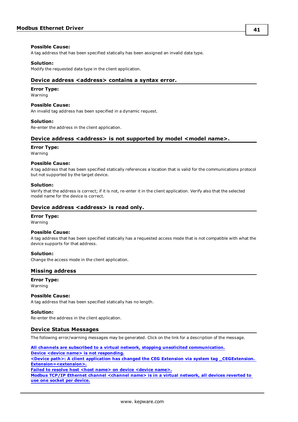## **Possible Cause:**

A tag address that has been specified statically has been assigned an invalid data type.

## **Solution:**

<span id="page-40-0"></span>Modify the requested data type in the client application.

# **Device address <address> contains a syntax error.**

# **Error Type:**

Warning

## **Possible Cause:**

An invalid tag address has been specified in a dynamic request.

## **Solution:**

<span id="page-40-1"></span>Re-enter the address in the client application.

# **Device address <address> is not supported by model <model name>.**

### **Error Type:**

Warning

## **Possible Cause:**

A tag address that has been specified statically references a location that is valid for the communications protocol but not supported by the target device.

## **Solution:**

Verify that the address is correct; if it is not, re-enter it in the client application. Verify also that the selected model name for the device is correct.

# <span id="page-40-2"></span>**Device address <address> is read only.**

## **Error Type:**

Warning

## **Possible Cause:**

A tag address that has been specified statically has a requested access mode that is not compatible with what the device supports for that address.

## **Solution:**

<span id="page-40-3"></span>Change the access mode in the client application.

# **Missing address**

**Error Type:**

# Warning

# **Possible Cause:**

A tag address that has been specified statically has no length.

## **Solution:**

<span id="page-40-4"></span>Re-enter the address in the client application.

# **Device Status Messages**

The following error/warning messages may be generated. Click on the link for a description of the message.

**All channels are subscribed to a virtual network, stopping unsolicited [communication.](#page-41-0) Device <device name> is not [responding.](#page-41-2) <Device path>: A client application has changed the CEG Extension via system tag [\\_CEGExtension.](#page-41-3) [Extension=<extension>.](#page-41-3) Failed** to resolve host <host name> on device [<device](#page-42-0) name>. **Modbus TCP/IP Ethernet channel [<channel](#page-42-1) name> is in a virtual network, all devices reverted to use one socket per [device.](#page-42-1)**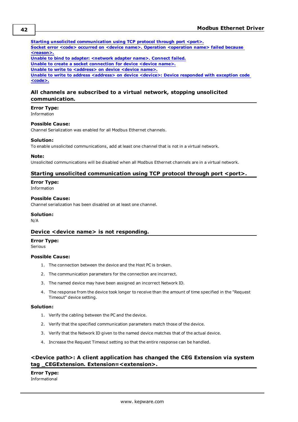#### **Starting unsolicited [communication](#page-41-1) using TCP protocol through port <port>. Socket error <code> occurred on <device name>. Operation [<operation](#page-42-2) name> failed because**

**[<reason>.](#page-42-2)**

**Unable to bind to adapter: [<network](#page-42-3) adapter name>. Connect failed.**

**Unable to create a socket [connection](#page-43-0) for device <device name>.**

**Unable to write to [<address>](#page-43-1) on device <device name>.**

**Unable to write to address [<address>](#page-43-2) on device <device>: Device responded with exception code [<code>.](#page-43-2)**

# <span id="page-41-0"></span>**All channels are subscribed to a virtual network, stopping unsolicited communication.**

# **Error Type:**

Information

# **Possible Cause:**

Channel Serialization was enabled for all Modbus Ethernet channels.

## **Solution:**

To enable unsolicited communications, add at least one channel that is not in a virtual network.

## **Note:**

<span id="page-41-1"></span>Unsolicited communications will be disabled when all Modbus Ethernet channels are in a virtual network.

# **Starting unsolicited communication using TCP protocol through port <port>.**

# **Error Type:**

Information

# **Possible Cause:**

Channel serialization has been disabled on at least one channel.

## **Solution:**

<span id="page-41-2"></span>N/A

# **Device <device name> is not responding.**

# **Error Type:**

Serious

## **Possible Cause:**

- 1. The connection between the device and the Host PC is broken.
- 2. The communication parameters for the connection are incorrect.
- 3. The named device may have been assigned an incorrect Network ID.
- 4. The response from the device took longer to receive than the amount of time specified in the "Request Timeout" device setting.

# **Solution:**

- 1. Verify the cabling between the PC and the device.
- 2. Verify that the specified communication parameters match those of the device.
- 3. Verify that the Network ID given to the named device matches that of the actual device.
- 4. Increase the Request Timeout setting so that the entire response can be handled.

# <span id="page-41-3"></span>**<Device path>: A client application has changed the CEG Extension via system tag \_CEGExtension. Extension=<extension>.**

**Error Type:** Informational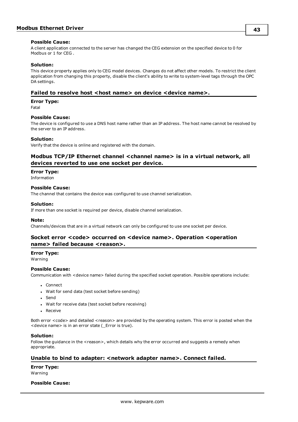## **Possible Cause:**

A client application connected to the server has changed the CEG extension on the specified device to 0 for Modbus or 1 for CEG .

# **Solution:**

This device property applies only to CEG model devices. Changes do not affect other models. To restrict the client application from changing this property, disable the client's ability to write to system-level tags through the OPC DA settings.

# <span id="page-42-0"></span>**Failed** to resolve host <host name> on device <device name>.

## **Error Type:**

Fatal

# **Possible Cause:**

The device is configured to use a DNS host name rather than an IP address. The host name cannot be resolved by the server to an IP address.

## **Solution:**

<span id="page-42-1"></span>Verify that the device is online and registered with the domain.

# **Modbus TCP/IP Ethernet channel <channel name> is in a virtual network, all devices reverted to use one socket per device.**

## **Error Type:**

Information

# **Possible Cause:**

The channel that contains the device was configured to use channel serialization.

## **Solution:**

If more than one socket is required per device, disable channel serialization.

## **Note:**

<span id="page-42-2"></span>Channels/devices that are in a virtual network can only be configured to use one socket per device.

# **Socket error <code> occurred on <device name>. Operation <operation name> failed because <reason>.**

# **Error Type:**

Warning

# **Possible Cause:**

Communication with <device name> failed during the specified socket operation. Possible operations include:

- Connect
- Wait for send data (test socket before sending)
- Send
- Wait for receive data (test socket before receiving)
- Receive

Both error <code> and detailed <reason> are provided by the operating system. This error is posted when the <device name> is in an error state (\_Error is true).

## **Solution:**

Follow the guidance in the <reason>, which details why the error occurred and suggests a remedy when appropriate.

# <span id="page-42-3"></span>**Unable to bind to adapter: <network adapter name>. Connect failed.**

**Error Type:**

Warning

# **Possible Cause:**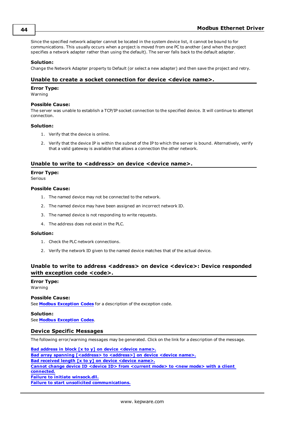Since the specified network adapter cannot be located in the system device list, it cannot be bound to for communications. This usually occurs when a project is moved from one PC to another (and when the project specifies a network adapter rather than using the default). The server falls back to the default adapter.

## **Solution:**

<span id="page-43-0"></span>Change the Network Adapter property to Default (or select a new adapter) and then save the project and retry.

# **Unable to create a socket connection for device <device name>.**

## **Error Type:**

Warning

### **Possible Cause:**

The server was unable to establish a TCP/IP socket connection to the specified device. It will continue to attempt connection.

## **Solution:**

- 1. Verify that the device is online.
- 2. Verify that the device IP is within the subnet of the IP to which the server is bound. Alternatively, verify that a valid gateway is available that allows a connection the other network.

# <span id="page-43-1"></span>**Unable to write to <address> on device <device name>.**

## **Error Type:**

Serious

# **Possible Cause:**

- 1. The named device may not be connected to the network.
- 2. The named device may have been assigned an incorrect network ID.
- 3. The named device is not responding to write requests.
- 4. The address does not exist in the PLC.

## **Solution:**

- 1. Check the PLC network connections.
- 2. Verify the network ID given to the named device matches that of the actual device.

# <span id="page-43-2"></span>**Unable to write to address <address> on device <device>: Device responded with exception code <code>.**

# **Error Type:**

Warning

# **Possible Cause:**

See **Modbus [Exception](#page-48-0) Codes** for a description of the exception code.

## **Solution:**

<span id="page-43-3"></span>See **Modbus [Exception](#page-48-0) Codes**.

# **Device Specific Messages**

The following error/warning messages may be generated. Click on the link for a description of the message.

**Bad address in block [x to y] on device [<device](#page-44-0) name>.** Bad array spanning [\[<address>](#page-44-1) to <address>] on device <device name>. **Bad [received](#page-44-2) length [x to y] on device <device name>. Cannot change device ID <device ID> from [<current](#page-44-3) mode> to <new mode> with a client [connected.](#page-44-3) Failure to initiate [winsock.dll.](#page-45-0) Failure to start unsolicited [communications.](#page-45-1)**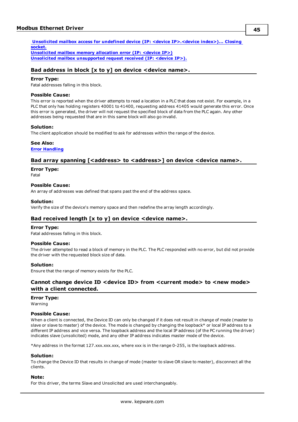**Unsolicited mailbox access for undefined device (IP: <device [IP>.<device](#page-45-2) index>)... Closing [socket.](#page-45-2) [Unsolicited](#page-45-3) mailbox memory allocation error (IP: <device IP>)**

<span id="page-44-0"></span>**Unsolicited mailbox [unsupported](#page-45-4) request received (IP: <device IP>).**

# **Bad address in block [x to y] on device <device name>.**

# **Error Type:**

Fatal addresses falling in this block.

# **Possible Cause:**

This error is reported when the driver attempts to read a location in a PLC that does not exist. For example, in a PLC that only has holding registers 40001 to 41400, requesting address 41405 would generate this error. Once this error is generated, the driver will not request the specified block of data from the PLC again. Any other addresses being requested that are in this same block will also go invalid.

# **Solution:**

The client application should be modified to ask for addresses within the range of the device.

## **See Also:**

<span id="page-44-1"></span>**Error [Handling](#page-15-0)**

# **Bad** array spanning  $\left[$ <address> to <address> $\left]$  on device <device name>.

## **Error Type:**

Fatal

## **Possible Cause:**

An array of addresses was defined that spans past the end of the address space.

## **Solution:**

<span id="page-44-2"></span>Verify the size of the device's memory space and then redefine the array length accordingly.

# **Bad received length [x to y] on device <device name>.**

## **Error Type:**

Fatal addresses falling in this block.

# **Possible Cause:**

The driver attempted to read a block of memory in the PLC. The PLC responded with no error, but did not provide the driver with the requested block size of data.

## **Solution:**

<span id="page-44-3"></span>Ensure that the range of memory exists for the PLC.

# **Cannot change device ID <device ID> from <current mode> to <new mode> with a client connected.**

# **Error Type:**

Warning

# **Possible Cause:**

When a client is connected, the Device ID can only be changed if it does not result in change of mode (master to slave or slave to master) of the device. The mode is changed by changing the loopback\* or local IP address to a different IP address and vice versa. The loopback address and the local IP address (of the PC running the driver) indicates slave (unsolicited) mode, and any other IP address indicates master mode of the device.

\*Any address in the format 127.xxx.xxx.xxx, where xxx is in the range 0-255, is the loopback address.

## **Solution:**

To change the Device ID that results in change of mode (master to slave OR slave to master), disconnect all the clients.

## **Note:**

For this driver, the terms Slave and Unsolicited are used interchangeably.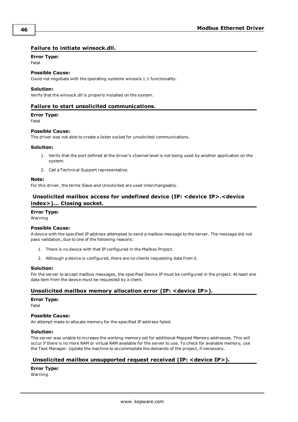# <span id="page-45-0"></span>**Failure to initiate winsock.dll.**

# **Error Type:**

Fatal

# **Possible Cause:**

Could not negotiate with the operating systems winsock 1.1 functionality.

## **Solution:**

<span id="page-45-1"></span>Verify that the winsock.dll is properly installed on the system.

# **Failure to start unsolicited communications.**

# **Error Type:**

Fatal

# **Possible Cause:**

The driver was not able to create a listen socket for unsolicited communications.

## **Solution:**

- 1. Verify that the port defined at the driver's channel level is not being used by another application on the system.
- 2. Call a Technical Support representative.

## **Note:**

<span id="page-45-2"></span>For this driver, the terms Slave and Unsolicited are used interchangeably.

# **Unsolicited mailbox access for undefined device (IP: <device IP>.<device index>)... Closing socket.**

# **Error Type:**

Warning

## **Possible Cause:**

A device with the specified IP address attempted to send a mailbox message to the server. The message did not pass validation, due to one of the following reasons:

- 1. There is no device with that IP configured in the Mailbox Project.
- 2. Although a device is configured, there are no clients requesting data from it.

## **Solution:**

For the server to accept mailbox messages, the specified Device IP must be configured in the project. At least one data item from the device must be requested by a client.

# <span id="page-45-3"></span>**Unsolicited mailbox memory allocation error (IP: <device IP>).**

# **Error Type:**

Fatal

# **Possible Cause:**

An attempt made to allocate memory for the specified IP address failed.

# **Solution:**

The server was unable to increase the working memory set for additional Mapped Memory addresses. This will occur if there is no more RAM or virtual RAM available for the server to use. To check for available memory, use the Task Manager. Update the machine to accommodate the demands of the project, if necessary.

# <span id="page-45-4"></span>**Unsolicited mailbox unsupported request received (IP: <device IP>).**

## **Error Type:** Warning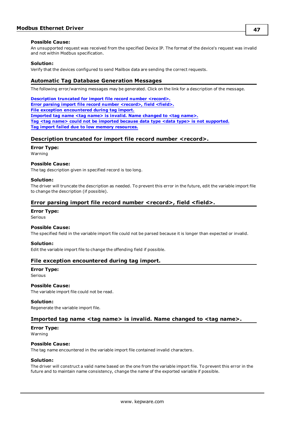## **Possible Cause:**

An unsupported request was received from the specified Device IP. The format of the device's request was invalid and not within Modbus specification.

## **Solution:**

<span id="page-46-0"></span>Verify that the devices configured to send Mailbox data are sending the correct requests.

# **Automatic Tag Database Generation Messages**

The following error/warning messages may be generated. Click on the link for a description of the message.

**[Description](#page-46-1) truncated for import file record number <record>. Error parsing import file record number [<record>,](#page-46-2) field <field>. File exception [encountered](#page-46-3) during tag import. [Imported](#page-46-4) tag name <tag name> is invalid. Name changed to <tag name>. Tag <tag name> could not be imported because data type <data type> is not [supported.](#page-47-0) Tag import failed due to low memory [resources.](#page-47-1)**

# <span id="page-46-1"></span>**Description truncated for import file record number <record>.**

## **Error Type:**

Warning

# **Possible Cause:**

The tag description given in specified record is too long.

# **Solution:**

The driver will truncate the description as needed. To prevent this error in the future, edit the variable import file to change the description (if possible).

# <span id="page-46-2"></span>**Error parsing import file record number <record>, field <field>.**

## **Error Type:**

Serious

# **Possible Cause:**

The specified field in the variable import file could not be parsed because it is longer than expected or invalid.

## **Solution:**

<span id="page-46-3"></span>Edit the variable import file to change the offending field if possible.

# **File exception encountered during tag import.**

# **Error Type:**

Serious

# **Possible Cause:**

The variable import file could not be read.

## **Solution:**

<span id="page-46-4"></span>Regenerate the variable import file.

# **Imported tag name <tag name> is invalid. Name changed to <tag name>.**

# **Error Type:**

Warning

## **Possible Cause:**

The tag name encountered in the variable import file contained invalid characters.

## **Solution:**

The driver will construct a valid name based on the one from the variable import file. To prevent this error in the future and to maintain name consistency, change the name of the exported variable if possible.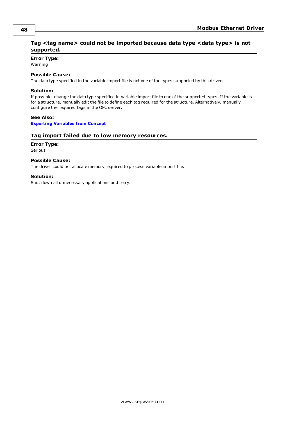# <span id="page-47-0"></span>**Tag <tag name> could not be imported because data type <data type> is not supported.**

# **Error Type:**

Warning

# **Possible Cause:**

The data type specified in the variable import file is not one of the types supported by this driver.

# **Solution:**

If possible, change the data type specified in variable import file to one of the supported types. If the variable is for a structure, manually edit the file to define each tag required for the structure. Alternatively, manually configure the required tags in the OPC server.

# **See Also:**

<span id="page-47-1"></span>**[Exporting](#page-19-0) Variables from Concept**

# **Tag import failed due to low memory resources.**

# **Error Type:**

Serious

# **Possible Cause:**

The driver could not allocate memory required to process variable import file.

# **Solution:**

Shut down all unnecessary applications and retry.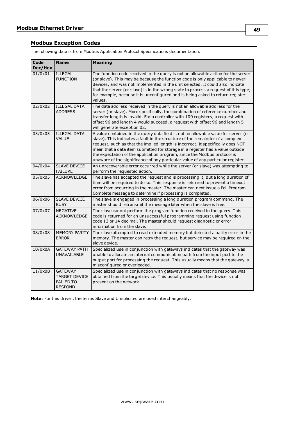# <span id="page-48-0"></span>**Modbus Exception Codes**

The following data is from Modbus Application Protocol Specifications documentation.

| Code<br>Dec/Hex | <b>Name</b>                                                                  | <b>Meaning</b>                                                                                                                                                                                                                                                                                                                                                                                                                                                                                         |
|-----------------|------------------------------------------------------------------------------|--------------------------------------------------------------------------------------------------------------------------------------------------------------------------------------------------------------------------------------------------------------------------------------------------------------------------------------------------------------------------------------------------------------------------------------------------------------------------------------------------------|
| 01/0x01         | <b>ILLEGAL</b><br><b>FUNCTION</b>                                            | The function code received in the query is not an allowable action for the server<br>(or slave). This may be because the function code is only applicable to newer<br>devices, and was not implemented in the unit selected. It could also indicate<br>that the server (or slave) is in the wrong state to process a request of this type;<br>for example, because it is unconfigured and is being asked to return register<br>values.                                                                 |
| 02/0x02         | <b>ILLEGAL DATA</b><br><b>ADDRESS</b>                                        | The data address received in the query is not an allowable address for the<br>server (or slave). More specifically, the combination of reference number and<br>transfer length is invalid. For a controller with 100 registers, a request with<br>offset 96 and length 4 would succeed, a request with offset 96 and length 5<br>will generate exception 02.                                                                                                                                           |
| 03/0x03         | <b>ILLEGAL DATA</b><br><b>VALUE</b>                                          | A value contained in the query data field is not an allowable value for server (or<br>slave). This indicates a fault in the structure of the remainder of a complex<br>request, such as that the implied length is incorrect. It specifically does NOT<br>mean that a data item submitted for storage in a register has a value outside<br>the expectation of the application program, since the Modbus protocol is<br>unaware of the significance of any particular value of any particular register. |
| 04/0x04         | <b>SLAVE DEVICE</b><br><b>FAILURE</b>                                        | An unrecoverable error occurred while the server (or slave) was attempting to<br>perform the requested action.                                                                                                                                                                                                                                                                                                                                                                                         |
| 05/0x05         | <b>ACKNOWLEDGE</b>                                                           | The slave has accepted the request and is processing it, but a long duration of<br>time will be required to do so. This response is returned to prevent a timeout<br>error from occurring in the master. The master can next issue a Poll Program<br>Complete message to determine if processing is completed.                                                                                                                                                                                         |
| 06/0x06         | <b>SLAVE DEVICE</b><br><b>BUSY</b>                                           | The slave is engaged in processing a long duration program command. The<br>master should retransmit the message later when the slave is free.                                                                                                                                                                                                                                                                                                                                                          |
| 07/0x07         | <b>NEGATIVE</b><br><b>ACKNOWLEDGE</b>                                        | The slave cannot perform the program function received in the query. This<br>code is returned for an unsuccessful programming request using function<br>code 13 or 14 decimal. The master should request diagnostic or error<br>information from the slave.                                                                                                                                                                                                                                            |
| 08/0x08         | <b>MEMORY PARITY</b><br><b>ERROR</b>                                         | The slave attempted to read extended memory but detected a parity error in the<br>memory. The master can retry the request, but service may be required on the<br>slave device.                                                                                                                                                                                                                                                                                                                        |
| 10/0x0A         | <b>GATEWAY PATH</b><br>UNAVAILABLE                                           | Specialized use in conjunction with gateways indicates that the gateway was<br>unable to allocate an internal communication path from the input port to the<br>output port for processing the request. This usually means that the gateway is<br>misconfigured or overloaded.                                                                                                                                                                                                                          |
| 11/0x0B         | <b>GATEWAY</b><br><b>TARGET DEVICE</b><br><b>FAILED TO</b><br><b>RESPOND</b> | Specialized use in conjunction with gateways indicates that no response was<br>obtained from the target device. This usually means that the device is not<br>present on the network.                                                                                                                                                                                                                                                                                                                   |

**Note:** For this driver, the terms Slave and Unsolicited are used interchangeably.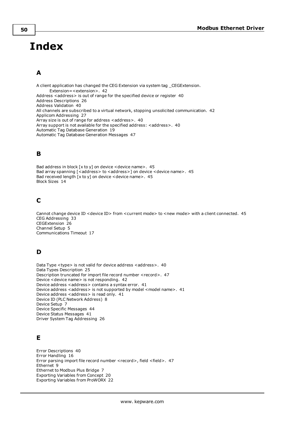# <span id="page-49-0"></span>**Index**

# **A**

A client application has changed the CEG Extension via system tag \_CEGExtension. Extension=<extension>. [42](#page-41-3) Address <address> is out of range for the specified device or register [40](#page-39-2) Address Descriptions [26](#page-25-0) Address Validation [40](#page-39-1) All channels are subscribed to a virtual network, stopping unsolicited communication. [42](#page-41-0) Applicom Addressing [27](#page-26-0) Array size is out of range for address <address>. [40](#page-39-3) Array support is not available for the specified address: <address>. [40](#page-39-4) Automatic Tag Database Generation [19](#page-18-0) Automatic Tag Database Generation Messages [47](#page-46-0)

# **B**

Bad address in block  $[x \text{ to } y]$  on device <device name>. [45](#page-44-0) Bad array spanning [<address> to <address>] on device <device name>. [45](#page-44-1) Bad received length [x to y] on device <device name>. [45](#page-44-2) Block Sizes [14](#page-13-0)

# **C**

Cannot change device ID < device ID> from <current mode> to <new mode> with a client connected. [45](#page-44-3) CEG Addressing [33](#page-32-0) CEGExtension [26](#page-25-3) Channel Setup [5](#page-4-0) Communications Timeout [17](#page-16-1)

# **D**

Data Type <type> is not valid for device address <address>. [40](#page-39-5) Data Types Description [25](#page-24-0) Description truncated for import file record number <record>. [47](#page-46-1) Device <device name> is not responding. [42](#page-41-2) Device address < address > contains a syntax error. [41](#page-40-0) Device address <address> is not supported by model <model name>. [41](#page-40-1) Device address <address> is read only. [41](#page-40-2) Device ID (PLC Network Address) [8](#page-7-1) Device Setup [7](#page-6-0) Device Specific Messages [44](#page-43-3) Device Status Messages [41](#page-40-4) Driver System Tag Addressing [26](#page-25-1)

# **E**

Error Descriptions [40](#page-39-0) Error Handling [16](#page-15-0) Error parsing import file record number <record>, field <field>. [47](#page-46-2) Ethernet [9](#page-8-0) Ethernet to Modbus Plus Bridge [7](#page-6-2) Exporting Variables from Concept [20](#page-19-0) Exporting Variables from ProWORX [22](#page-21-0)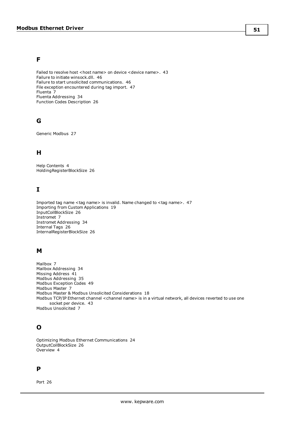# **F**

Failed to resolve host < host name> on device < device name>. [43](#page-42-0) Failure to initiate winsock.dll. [46](#page-45-0) Failure to start unsolicited communications. [46](#page-45-1) File exception encountered during tag import. [47](#page-46-3) Fluenta [7](#page-6-4) Fluenta Addressing [34](#page-33-0) Function Codes Description [26](#page-25-2)

# **G**

Generic Modbus [27](#page-26-1)

# **H**

Help Contents [4](#page-3-0) HoldingRegisterBlockSize [26](#page-25-4)

# **I**

Imported tag name <tag name> is invalid. Name changed to <tag name>. [47](#page-46-4) Importing from Custom Applications [19](#page-18-1) InputCoilBlockSize [26](#page-25-5) Instromet [7](#page-6-5) Instromet Addressing [34](#page-33-1) Internal Tags [26](#page-25-6) InternalRegisterBlockSize [26](#page-25-7)

# **M**

Mailbox [7](#page-6-6) Mailbox Addressing [34](#page-33-2) Missing Address [41](#page-40-3) Modbus Addressing [35](#page-34-0) Modbus Exception Codes [49](#page-48-0) Modbus Master [7](#page-6-7) Modbus Master & Modbus Unsolicited Considerations [18](#page-17-0) Modbus TCP/IP Ethernet channel <channel name> is in a virtual network, all devices reverted to use one socket per device. [43](#page-42-1) Modbus Unsolicited [7](#page-6-8)

# **O**

Optimizing Modbus Ethernet Communications [24](#page-23-0) OutputCoilBlockSize [26](#page-25-8) Overview [4](#page-3-1)

# **P**

Port [26](#page-25-9)